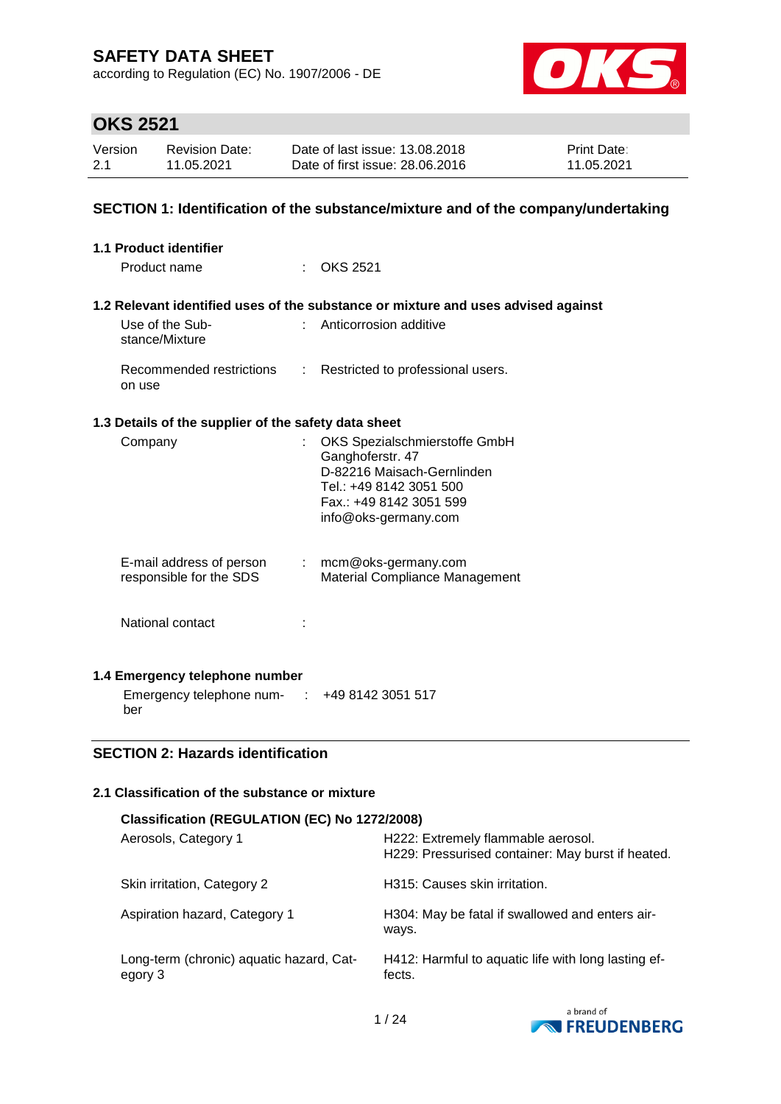according to Regulation (EC) No. 1907/2006 - DE



# **OKS 2521**

| Version | Revision Date: | Date of last issue: 13.08.2018  | <b>Print Date:</b> |
|---------|----------------|---------------------------------|--------------------|
| 2.1     | 11.05.2021     | Date of first issue: 28,06,2016 | 11.05.2021         |

### **SECTION 1: Identification of the substance/mixture and of the company/undertaking**

| 1.1 Product identifier                                                 |                                                                                                                                                              |
|------------------------------------------------------------------------|--------------------------------------------------------------------------------------------------------------------------------------------------------------|
| Product name                                                           | $\therefore$ OKS 2521                                                                                                                                        |
| Use of the Sub-<br>stance/Mixture                                      | 1.2 Relevant identified uses of the substance or mixture and uses advised against<br>Anticorrosion additive                                                  |
| Recommended restrictions : Restricted to professional users.<br>on use |                                                                                                                                                              |
| 1.3 Details of the supplier of the safety data sheet                   |                                                                                                                                                              |
| Company                                                                | OKS Spezialschmierstoffe GmbH<br>Ganghoferstr. 47<br>D-82216 Maisach-Gernlinden<br>Tel.: +49 8142 3051 500<br>Fax: +49 8142 3051 599<br>info@oks-germany.com |
| E-mail address of person<br>responsible for the SDS                    | : mcm@oks-germany.com<br><b>Material Compliance Management</b>                                                                                               |
| National contact                                                       |                                                                                                                                                              |
| 1.4 Emergency telephone number                                         |                                                                                                                                                              |
| Emergency telephone num-<br>t.                                         | +49 8142 3051 517                                                                                                                                            |

### **SECTION 2: Hazards identification**

ber

### **2.1 Classification of the substance or mixture**

| Classification (REGULATION (EC) No 1272/2008)       |                                                                                         |  |  |
|-----------------------------------------------------|-----------------------------------------------------------------------------------------|--|--|
| Aerosols, Category 1                                | H222: Extremely flammable aerosol.<br>H229: Pressurised container: May burst if heated. |  |  |
| Skin irritation, Category 2                         | H315: Causes skin irritation.                                                           |  |  |
| Aspiration hazard, Category 1                       | H304: May be fatal if swallowed and enters air-<br>ways.                                |  |  |
| Long-term (chronic) aquatic hazard, Cat-<br>egory 3 | H412: Harmful to aquatic life with long lasting ef-<br>fects.                           |  |  |

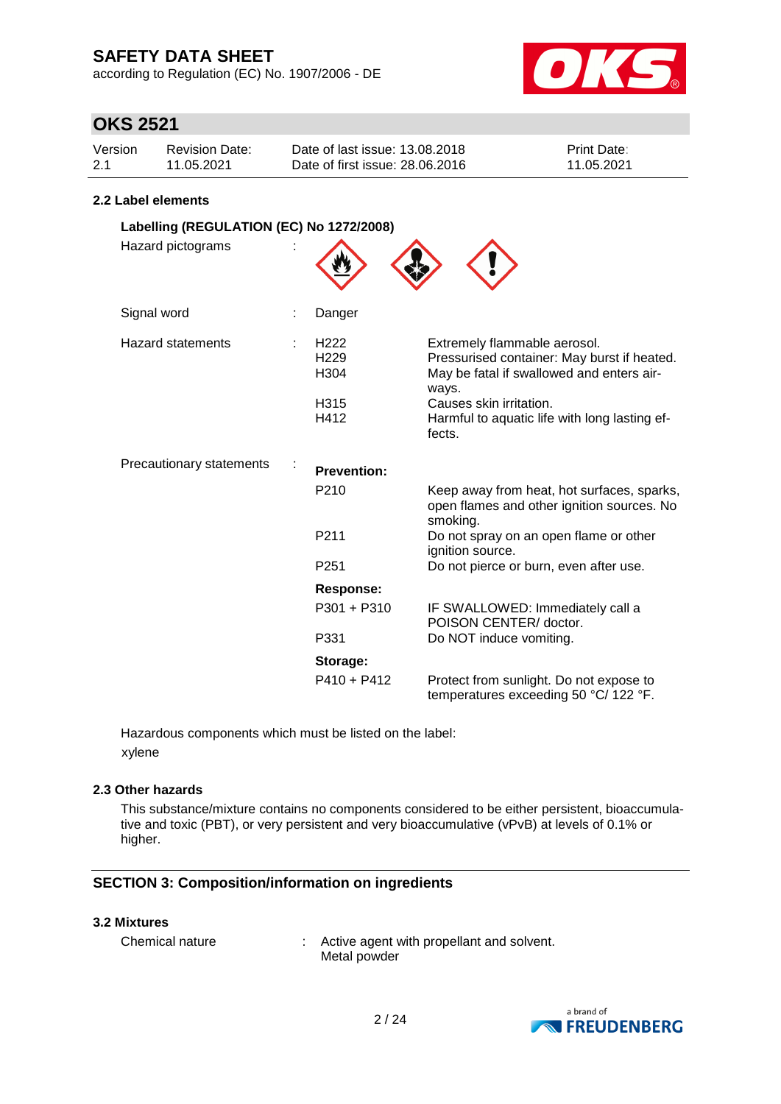according to Regulation (EC) No. 1907/2006 - DE



## **OKS 2521**

| Version | Revision Date: | Date of last issue: 13.08.2018  | <b>Print Date:</b> |
|---------|----------------|---------------------------------|--------------------|
| 2.1     | 11.05.2021     | Date of first issue: 28,06,2016 | 11.05.2021         |

### **2.2 Label elements**

| Labelling (REGULATION (EC) No 1272/2008) |                                                                          |                                                                                                                                                                                                                         |
|------------------------------------------|--------------------------------------------------------------------------|-------------------------------------------------------------------------------------------------------------------------------------------------------------------------------------------------------------------------|
| Hazard pictograms                        |                                                                          |                                                                                                                                                                                                                         |
| Signal word                              | Danger                                                                   |                                                                                                                                                                                                                         |
| <b>Hazard statements</b>                 | H <sub>222</sub><br>H <sub>229</sub><br>H <sub>304</sub><br>H315<br>H412 | Extremely flammable aerosol.<br>Pressurised container: May burst if heated.<br>May be fatal if swallowed and enters air-<br>ways.<br>Causes skin irritation.<br>Harmful to aquatic life with long lasting ef-<br>fects. |
| Precautionary statements                 | <b>Prevention:</b>                                                       |                                                                                                                                                                                                                         |
|                                          | P <sub>210</sub>                                                         | Keep away from heat, hot surfaces, sparks,<br>open flames and other ignition sources. No<br>smoking.                                                                                                                    |
|                                          | P <sub>211</sub>                                                         | Do not spray on an open flame or other<br>ignition source.                                                                                                                                                              |
|                                          | P <sub>251</sub>                                                         | Do not pierce or burn, even after use.                                                                                                                                                                                  |
|                                          | <b>Response:</b>                                                         |                                                                                                                                                                                                                         |
|                                          | P301 + P310                                                              | IF SWALLOWED: Immediately call a<br>POISON CENTER/ doctor.                                                                                                                                                              |
|                                          | P331                                                                     | Do NOT induce vomiting.                                                                                                                                                                                                 |
|                                          | Storage:                                                                 |                                                                                                                                                                                                                         |
|                                          | $P410 + P412$                                                            | Protect from sunlight. Do not expose to<br>temperatures exceeding 50 °C/ 122 °F.                                                                                                                                        |

Hazardous components which must be listed on the label: xylene

### **2.3 Other hazards**

This substance/mixture contains no components considered to be either persistent, bioaccumulative and toxic (PBT), or very persistent and very bioaccumulative (vPvB) at levels of 0.1% or higher.

### **SECTION 3: Composition/information on ingredients**

### **3.2 Mixtures**

| Chemical nature | Active agent with propellant and solvent. |
|-----------------|-------------------------------------------|
|                 | Metal powder                              |

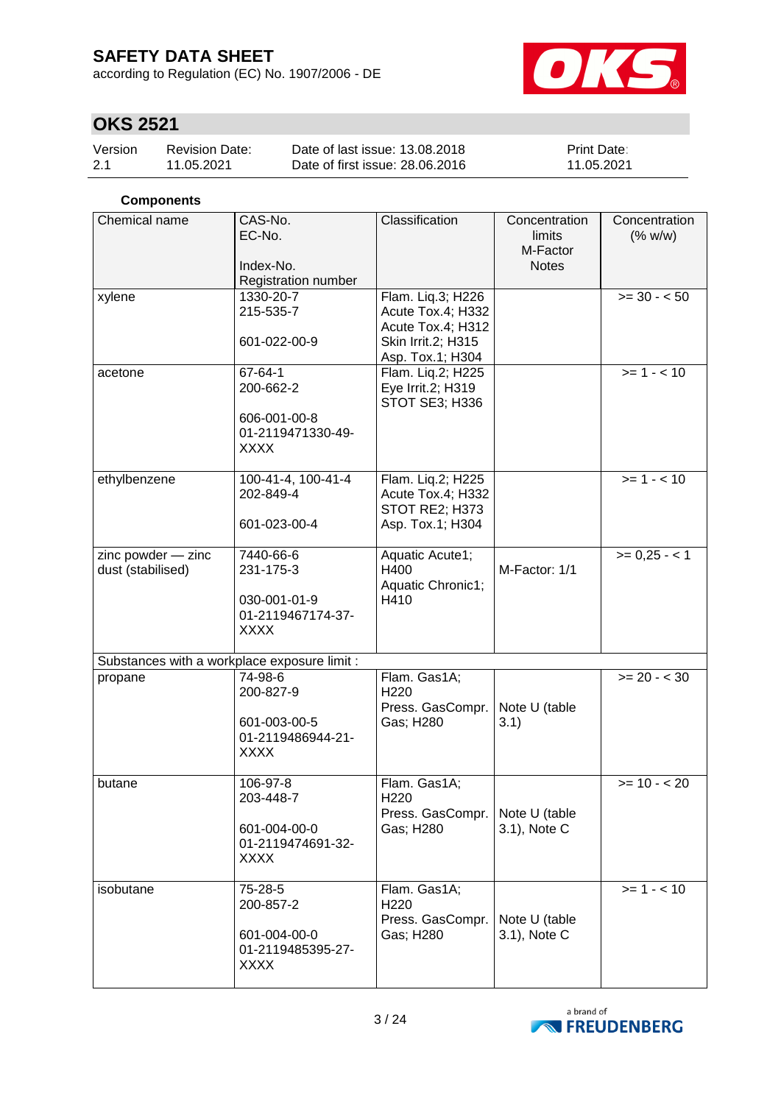according to Regulation (EC) No. 1907/2006 - DE



# **OKS 2521**

| Version | Revision Date: | Date of last issue: 13.08.2018  | <b>Print Date:</b> |
|---------|----------------|---------------------------------|--------------------|
| 2.1     | 11.05.2021     | Date of first issue: 28,06,2016 | 11.05.2021         |

### **Components**

| Chemical name                                | CAS-No.<br>EC-No.<br>Index-No.<br>Registration number                      | Classification                                                                                        | Concentration<br>limits<br>M-Factor<br><b>Notes</b> | Concentration<br>(% w/w) |
|----------------------------------------------|----------------------------------------------------------------------------|-------------------------------------------------------------------------------------------------------|-----------------------------------------------------|--------------------------|
| xylene                                       | 1330-20-7<br>215-535-7<br>601-022-00-9                                     | Flam. Liq.3; H226<br>Acute Tox.4; H332<br>Acute Tox.4; H312<br>Skin Irrit.2; H315<br>Asp. Tox.1; H304 |                                                     | $>= 30 - 50$             |
| acetone                                      | 67-64-1<br>200-662-2<br>606-001-00-8<br>01-2119471330-49-<br><b>XXXX</b>   | Flam. Liq.2; H225<br>Eye Irrit.2; H319<br>STOT SE3; H336                                              |                                                     | $>= 1 - 10$              |
| ethylbenzene                                 | 100-41-4, 100-41-4<br>202-849-4<br>601-023-00-4                            | Flam. Liq.2; H225<br>Acute Tox.4; H332<br>STOT RE2; H373<br>Asp. Tox.1; H304                          |                                                     | $>= 1 - 10$              |
| zinc powder - zinc<br>dust (stabilised)      | 7440-66-6<br>231-175-3<br>030-001-01-9<br>01-2119467174-37-<br><b>XXXX</b> | Aquatic Acute1;<br>H400<br>Aquatic Chronic1;<br>H410                                                  | M-Factor: 1/1                                       | $>= 0,25 - 1$            |
| Substances with a workplace exposure limit : |                                                                            |                                                                                                       |                                                     |                          |
| propane                                      | 74-98-6<br>200-827-9<br>601-003-00-5<br>01-2119486944-21-<br><b>XXXX</b>   | Flam. Gas1A;<br>H220<br>Press. GasCompr.<br>Gas; H280                                                 | Note U (table<br>3.1)                               | $>= 20 - < 30$           |
| butane                                       | 106-97-8<br>203-448-7<br>601-004-00-0<br>01-2119474691-32-<br><b>XXXX</b>  | Flam. Gas1A;<br>H220<br>Press. GasCompr.<br>Gas; H280                                                 | Note U (table<br>3.1), Note C                       | $>= 10 - 20$             |
| isobutane                                    | 75-28-5<br>200-857-2<br>601-004-00-0<br>01-2119485395-27-<br><b>XXXX</b>   | Flam. Gas1A;<br>H220<br>Press. GasCompr.<br>Gas; H280                                                 | Note U (table<br>3.1), Note C                       | $>= 1 - 10$              |

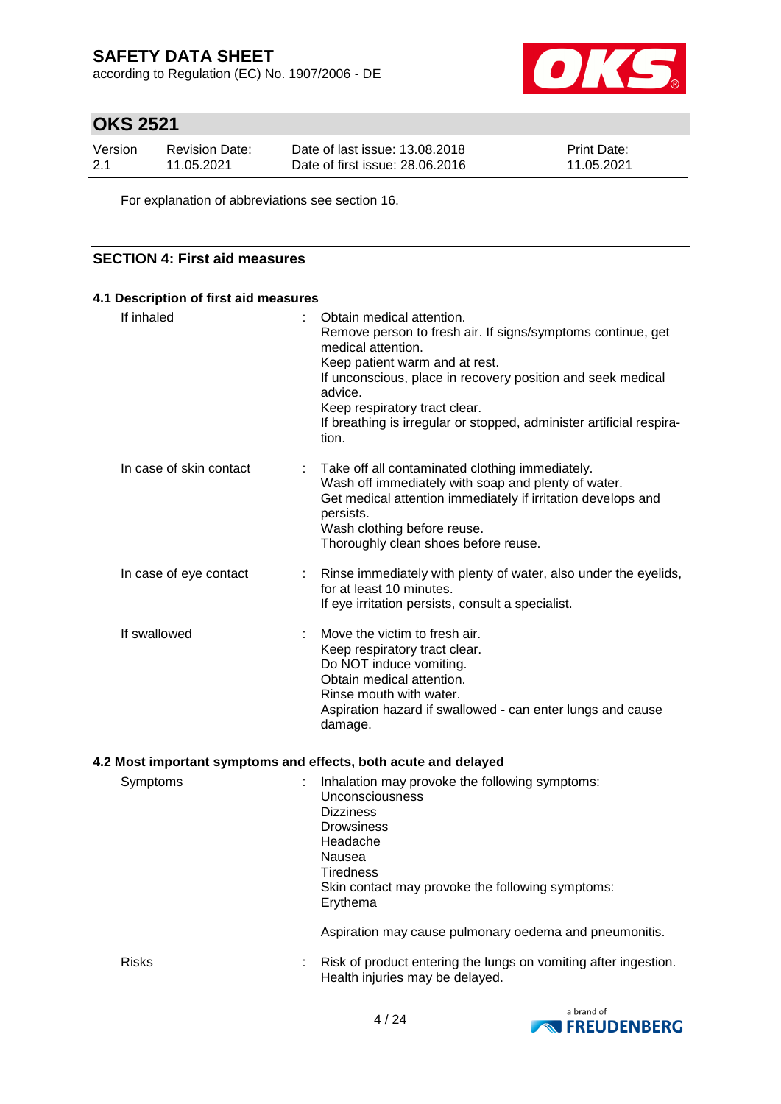according to Regulation (EC) No. 1907/2006 - DE



# **OKS 2521**

| Version | <b>Revision Date:</b> | Date of last issue: 13.08.2018  | <b>Print Date:</b> |
|---------|-----------------------|---------------------------------|--------------------|
| 2.1     | 11.05.2021            | Date of first issue: 28,06,2016 | 11.05.2021         |

For explanation of abbreviations see section 16.

### **SECTION 4: First aid measures**

| 4.1 Description of first aid measures                           |                                                                                                                                                                                                                                                                                                                                              |
|-----------------------------------------------------------------|----------------------------------------------------------------------------------------------------------------------------------------------------------------------------------------------------------------------------------------------------------------------------------------------------------------------------------------------|
| If inhaled                                                      | Obtain medical attention.<br>Remove person to fresh air. If signs/symptoms continue, get<br>medical attention.<br>Keep patient warm and at rest.<br>If unconscious, place in recovery position and seek medical<br>advice.<br>Keep respiratory tract clear.<br>If breathing is irregular or stopped, administer artificial respira-<br>tion. |
| In case of skin contact<br>t.                                   | Take off all contaminated clothing immediately.<br>Wash off immediately with soap and plenty of water.<br>Get medical attention immediately if irritation develops and<br>persists.<br>Wash clothing before reuse.<br>Thoroughly clean shoes before reuse.                                                                                   |
| In case of eye contact<br>÷.                                    | Rinse immediately with plenty of water, also under the eyelids,<br>for at least 10 minutes.<br>If eye irritation persists, consult a specialist.                                                                                                                                                                                             |
| If swallowed                                                    | Move the victim to fresh air.<br>Keep respiratory tract clear.<br>Do NOT induce vomiting.<br>Obtain medical attention.<br>Rinse mouth with water.<br>Aspiration hazard if swallowed - can enter lungs and cause<br>damage.                                                                                                                   |
| 4.2 Most important symptoms and effects, both acute and delayed |                                                                                                                                                                                                                                                                                                                                              |
| Symptoms                                                        | Inhalation may provoke the following symptoms:<br>Unconsciousness<br><b>Dizziness</b><br><b>Drowsiness</b><br>Headache<br>Nausea<br>Tiredness<br>Skin contact may provoke the following symptoms:<br>Erythema                                                                                                                                |
|                                                                 | Aspiration may cause pulmonary oedema and pneumonitis.                                                                                                                                                                                                                                                                                       |
| <b>Risks</b>                                                    | Risk of product entering the lungs on vomiting after ingestion.<br>Health injuries may be delayed.                                                                                                                                                                                                                                           |

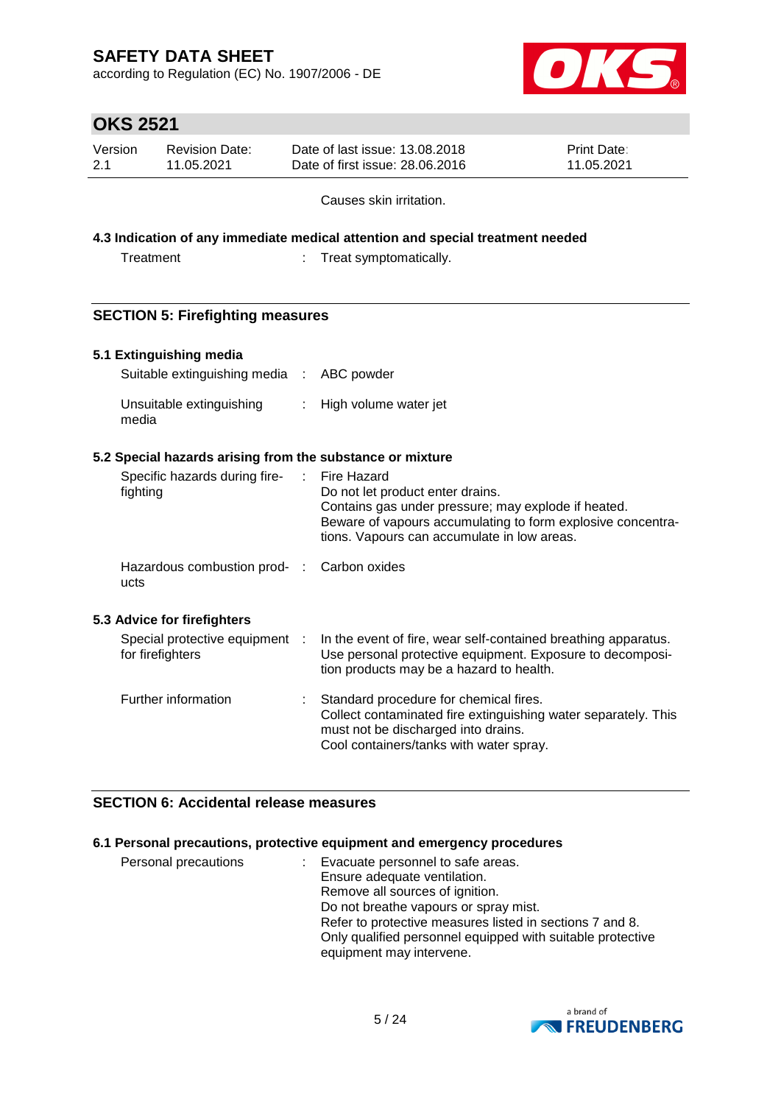according to Regulation (EC) No. 1907/2006 - DE



# **OKS 2521**

| Version | Revision Date: | Date of last issue: 13.08.2018  | <b>Print Date:</b> |
|---------|----------------|---------------------------------|--------------------|
| -2.1    | 11.05.2021     | Date of first issue: 28,06,2016 | 11.05.2021         |

Causes skin irritation.

### **4.3 Indication of any immediate medical attention and special treatment needed**

| Treatment |  | Treat symptomatically. |
|-----------|--|------------------------|
|-----------|--|------------------------|

## **SECTION 5: Firefighting measures**

### **5.1 Extinguishing media**

| Suitable extinguishing media : ABC powder |                         |
|-------------------------------------------|-------------------------|
| Unsuitable extinguishing<br>media         | : High volume water jet |

### **5.2 Special hazards arising from the substance or mixture**

| fighting | Specific hazards during fire-                      |    | Fire Hazard<br>Do not let product enter drains.<br>Contains gas under pressure; may explode if heated.<br>Beware of vapours accumulating to form explosive concentra-<br>tions. Vapours can accumulate in low areas. |
|----------|----------------------------------------------------|----|----------------------------------------------------------------------------------------------------------------------------------------------------------------------------------------------------------------------|
| ucts     | Hazardous combustion prod- : Carbon oxides         |    |                                                                                                                                                                                                                      |
|          | 5.3 Advice for firefighters                        |    |                                                                                                                                                                                                                      |
|          | Special protective equipment :<br>for firefighters |    | In the event of fire, wear self-contained breathing apparatus.<br>Use personal protective equipment. Exposure to decomposi-<br>tion products may be a hazard to health.                                              |
|          | Further information                                | t. | Standard procedure for chemical fires.<br>Collect contaminated fire extinguishing water separately. This<br>must not be discharged into drains.<br>Cool containers/tanks with water spray.                           |

### **SECTION 6: Accidental release measures**

### **6.1 Personal precautions, protective equipment and emergency procedures**

| Personal precautions | Evacuate personnel to safe areas.                          |
|----------------------|------------------------------------------------------------|
|                      | Ensure adequate ventilation.                               |
|                      | Remove all sources of ignition.                            |
|                      | Do not breathe vapours or spray mist.                      |
|                      | Refer to protective measures listed in sections 7 and 8.   |
|                      | Only qualified personnel equipped with suitable protective |
|                      | equipment may intervene.                                   |

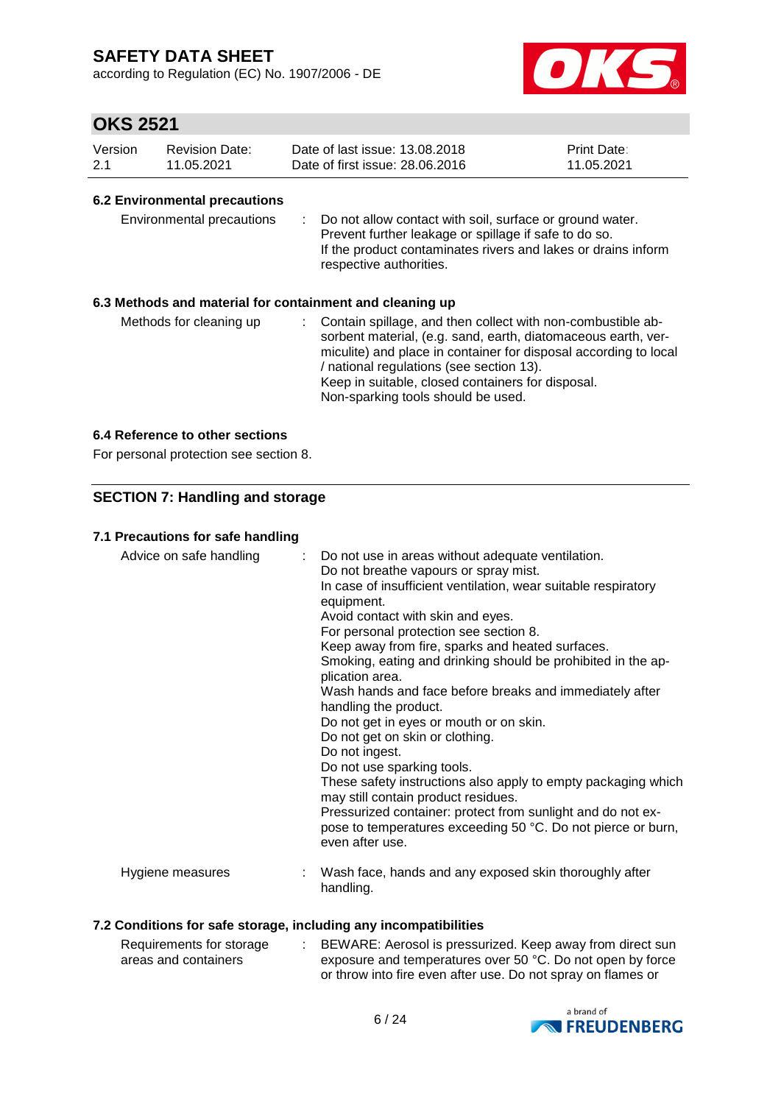according to Regulation (EC) No. 1907/2006 - DE



## **OKS 2521**

| Version | <b>Revision Date:</b> | Date of last issue: 13.08.2018  | <b>Print Date:</b> |
|---------|-----------------------|---------------------------------|--------------------|
| 2.1     | 11.05.2021            | Date of first issue: 28.06.2016 | 11.05.2021         |

### **6.2 Environmental precautions**

| Environmental precautions |  | : Do not allow contact with soil, surface or ground water.<br>Prevent further leakage or spillage if safe to do so.<br>If the product contaminates rivers and lakes or drains inform<br>respective authorities. |
|---------------------------|--|-----------------------------------------------------------------------------------------------------------------------------------------------------------------------------------------------------------------|
|---------------------------|--|-----------------------------------------------------------------------------------------------------------------------------------------------------------------------------------------------------------------|

### **6.3 Methods and material for containment and cleaning up**

| Methods for cleaning up |  | : Contain spillage, and then collect with non-combustible ab-<br>sorbent material, (e.g. sand, earth, diatomaceous earth, ver-<br>miculite) and place in container for disposal according to local<br>/ national regulations (see section 13).<br>Keep in suitable, closed containers for disposal.<br>Non-sparking tools should be used. |
|-------------------------|--|-------------------------------------------------------------------------------------------------------------------------------------------------------------------------------------------------------------------------------------------------------------------------------------------------------------------------------------------|
|-------------------------|--|-------------------------------------------------------------------------------------------------------------------------------------------------------------------------------------------------------------------------------------------------------------------------------------------------------------------------------------------|

### **6.4 Reference to other sections**

For personal protection see section 8.

### **SECTION 7: Handling and storage**

### **7.1 Precautions for safe handling**

| Advice on safe handling | : Do not use in areas without adequate ventilation.<br>Do not breathe vapours or spray mist.<br>In case of insufficient ventilation, wear suitable respiratory<br>equipment.<br>Avoid contact with skin and eyes.<br>For personal protection see section 8.<br>Keep away from fire, sparks and heated surfaces.<br>Smoking, eating and drinking should be prohibited in the ap-<br>plication area.<br>Wash hands and face before breaks and immediately after<br>handling the product.<br>Do not get in eyes or mouth or on skin.<br>Do not get on skin or clothing.<br>Do not ingest.<br>Do not use sparking tools.<br>These safety instructions also apply to empty packaging which<br>may still contain product residues.<br>Pressurized container: protect from sunlight and do not ex-<br>pose to temperatures exceeding 50 °C. Do not pierce or burn,<br>even after use. |
|-------------------------|--------------------------------------------------------------------------------------------------------------------------------------------------------------------------------------------------------------------------------------------------------------------------------------------------------------------------------------------------------------------------------------------------------------------------------------------------------------------------------------------------------------------------------------------------------------------------------------------------------------------------------------------------------------------------------------------------------------------------------------------------------------------------------------------------------------------------------------------------------------------------------|
| Hygiene measures        | Wash face, hands and any exposed skin thoroughly after<br>handling.                                                                                                                                                                                                                                                                                                                                                                                                                                                                                                                                                                                                                                                                                                                                                                                                            |

### **7.2 Conditions for safe storage, including any incompatibilities**

| Requirements for storage | BEWARE: Aerosol is pressurized. Keep away from direct sun    |
|--------------------------|--------------------------------------------------------------|
| areas and containers     | exposure and temperatures over 50 °C. Do not open by force   |
|                          | or throw into fire even after use. Do not spray on flames or |

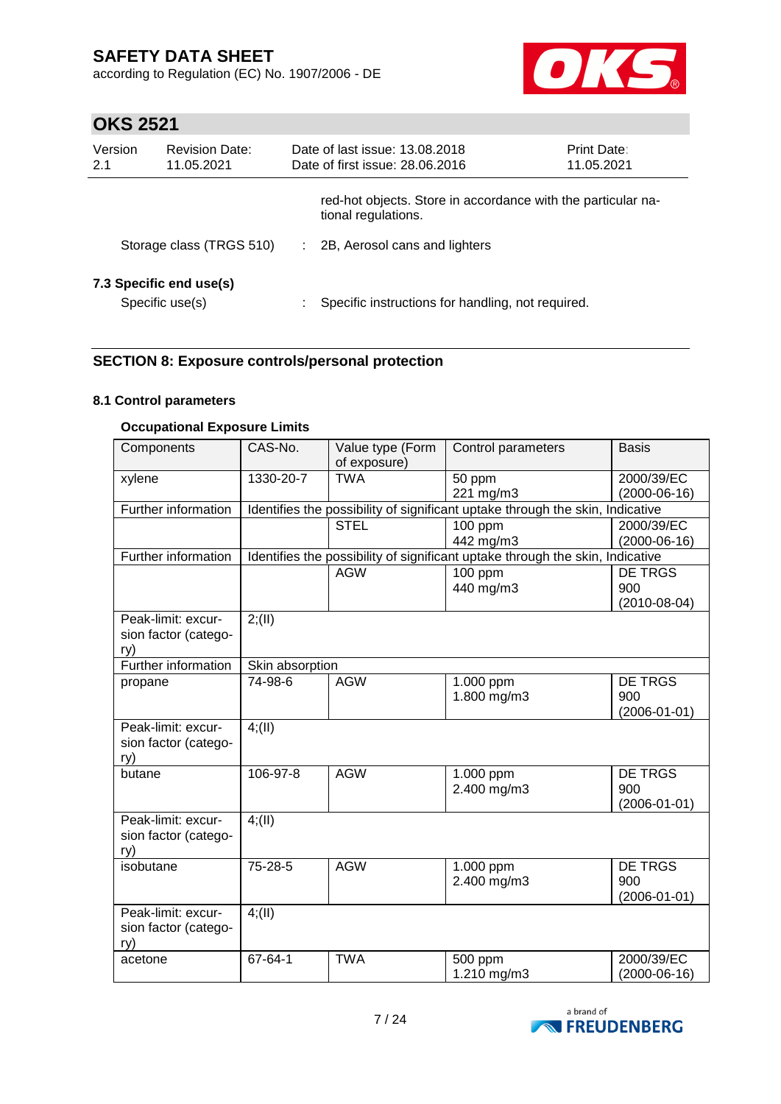according to Regulation (EC) No. 1907/2006 - DE



# **OKS 2521**

| Version<br>2.1 | <b>Revision Date:</b><br>11.05.2021        |   | Date of last issue: 13.08.2018<br>Date of first issue: 28.06.2016                   | Print Date:<br>11.05.2021 |
|----------------|--------------------------------------------|---|-------------------------------------------------------------------------------------|---------------------------|
|                |                                            |   | red-hot objects. Store in accordance with the particular na-<br>tional regulations. |                           |
|                | Storage class (TRGS 510)                   | ÷ | 2B, Aerosol cans and lighters                                                       |                           |
|                | 7.3 Specific end use(s)<br>Specific use(s) |   | Specific instructions for handling, not required.                                   |                           |

## **SECTION 8: Exposure controls/personal protection**

### **8.1 Control parameters**

#### **Occupational Exposure Limits**

| Components                 | CAS-No.                    | Value type (Form<br>of exposure) | Control parameters                                                            | <b>Basis</b>       |
|----------------------------|----------------------------|----------------------------------|-------------------------------------------------------------------------------|--------------------|
| xylene                     | 1330-20-7                  | <b>TWA</b>                       | 50 ppm                                                                        | 2000/39/EC         |
|                            |                            |                                  | 221 mg/m3                                                                     | $(2000-06-16)$     |
| Further information        |                            |                                  | Identifies the possibility of significant uptake through the skin, Indicative |                    |
|                            |                            | <b>STEL</b>                      | 100 ppm                                                                       | 2000/39/EC         |
|                            |                            |                                  | 442 mg/m3                                                                     | $(2000-06-16)$     |
| Further information        |                            |                                  | Identifies the possibility of significant uptake through the skin, Indicative |                    |
|                            |                            | <b>AGW</b>                       | 100 ppm                                                                       | <b>DE TRGS</b>     |
|                            |                            |                                  | 440 mg/m3                                                                     | 900                |
|                            |                            |                                  |                                                                               | $(2010-08-04)$     |
| Peak-limit: excur-         | 2; (II)                    |                                  |                                                                               |                    |
| sion factor (catego-       |                            |                                  |                                                                               |                    |
| ry)<br>Further information |                            |                                  |                                                                               |                    |
|                            | Skin absorption<br>74-98-6 | <b>AGW</b>                       |                                                                               | <b>DE TRGS</b>     |
| propane                    |                            |                                  | 1.000 ppm<br>1.800 mg/m3                                                      | 900                |
|                            |                            |                                  |                                                                               | $(2006 - 01 - 01)$ |
| Peak-limit: excur-         | 4(11)                      |                                  |                                                                               |                    |
| sion factor (catego-       |                            |                                  |                                                                               |                    |
| ry)                        |                            |                                  |                                                                               |                    |
| butane                     | 106-97-8                   | <b>AGW</b>                       | 1.000 ppm                                                                     | <b>DE TRGS</b>     |
|                            |                            |                                  | 2.400 mg/m3                                                                   | 900                |
|                            |                            |                                  |                                                                               | $(2006 - 01 - 01)$ |
| Peak-limit: excur-         | 4(11)                      |                                  |                                                                               |                    |
| sion factor (catego-       |                            |                                  |                                                                               |                    |
| ry)<br>isobutane           | 75-28-5                    | <b>AGW</b>                       |                                                                               | DE TRGS            |
|                            |                            |                                  | 1.000 ppm<br>2.400 mg/m3                                                      | 900                |
|                            |                            |                                  |                                                                               | $(2006 - 01 - 01)$ |
| Peak-limit: excur-         | 4(11)                      |                                  |                                                                               |                    |
| sion factor (catego-       |                            |                                  |                                                                               |                    |
| ry)                        |                            |                                  |                                                                               |                    |
| acetone                    | 67-64-1                    | <b>TWA</b>                       | 500 ppm                                                                       | 2000/39/EC         |
|                            |                            |                                  | 1.210 mg/m3                                                                   | $(2000-06-16)$     |

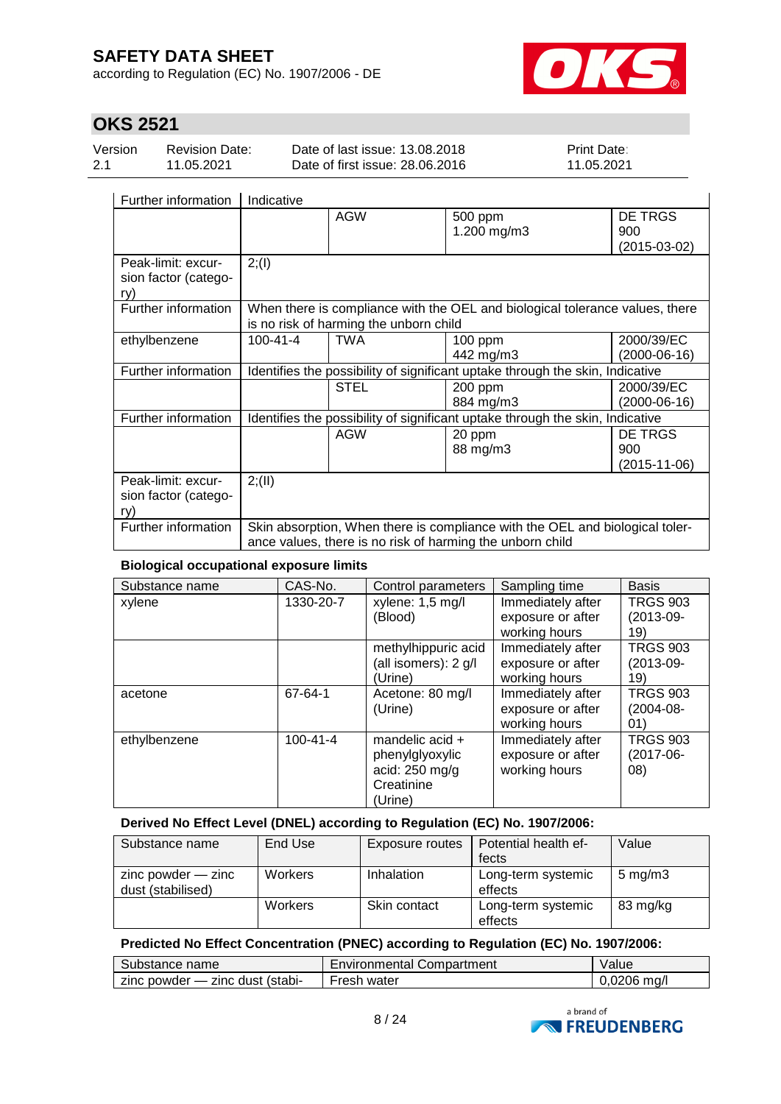according to Regulation (EC) No. 1907/2006 - DE



# **OKS 2521**

| Version | <b>Revision Date:</b> | Date of last issue: 13.08.2018  | <b>Print Date:</b> |
|---------|-----------------------|---------------------------------|--------------------|
| 2.1     | 11.05.2021            | Date of first issue: 28,06,2016 | 11.05.2021         |

| Further information                               | Indicative                                                                                                                                |                                        |                                                                               |                                |  |
|---------------------------------------------------|-------------------------------------------------------------------------------------------------------------------------------------------|----------------------------------------|-------------------------------------------------------------------------------|--------------------------------|--|
|                                                   |                                                                                                                                           | <b>AGW</b>                             | 500 ppm<br>1.200 mg/m3                                                        | DE TRGS<br>900<br>(2015-03-02) |  |
| Peak-limit: excur-<br>sion factor (catego-<br>ry) | 2; (1)                                                                                                                                    |                                        |                                                                               |                                |  |
| Further information                               |                                                                                                                                           | is no risk of harming the unborn child | When there is compliance with the OEL and biological tolerance values, there  |                                |  |
| ethylbenzene                                      | $100 - 41 - 4$                                                                                                                            | TWA                                    | $100$ ppm<br>442 mg/m3                                                        | 2000/39/EC<br>(2000-06-16)     |  |
| Further information                               |                                                                                                                                           |                                        | Identifies the possibility of significant uptake through the skin, Indicative |                                |  |
|                                                   |                                                                                                                                           | <b>STEL</b>                            | 200 ppm<br>884 mg/m3                                                          | 2000/39/EC<br>$(2000-06-16)$   |  |
| Further information                               |                                                                                                                                           |                                        | Identifies the possibility of significant uptake through the skin, Indicative |                                |  |
|                                                   |                                                                                                                                           | <b>AGW</b>                             | 20 ppm<br>88 mg/m3                                                            | DE TRGS<br>900<br>(2015-11-06) |  |
| Peak-limit: excur-<br>sion factor (catego-<br>rv) | 2; (II)                                                                                                                                   |                                        |                                                                               |                                |  |
| Further information                               | Skin absorption, When there is compliance with the OEL and biological toler-<br>ance values, there is no risk of harming the unborn child |                                        |                                                                               |                                |  |

### **Biological occupational exposure limits**

| Substance name | CAS-No.        | Control parameters   | Sampling time     | <b>Basis</b>    |
|----------------|----------------|----------------------|-------------------|-----------------|
| xylene         | 1330-20-7      | xylene: 1,5 mg/l     | Immediately after | <b>TRGS 903</b> |
|                |                | (Blood)              | exposure or after | $(2013-09-$     |
|                |                |                      | working hours     | 19)             |
|                |                | methylhippuric acid  | Immediately after | <b>TRGS 903</b> |
|                |                | (all isomers): 2 g/l | exposure or after | $(2013-09-$     |
|                |                | (Urine)              | working hours     | 19)             |
| acetone        | 67-64-1        | Acetone: 80 mg/l     | Immediately after | <b>TRGS 903</b> |
|                |                | (Urine)              | exposure or after | $(2004 - 08 -$  |
|                |                |                      | working hours     | 01)             |
| ethylbenzene   | $100 - 41 - 4$ | mandelic acid +      | Immediately after | <b>TRGS 903</b> |
|                |                | phenylglyoxylic      | exposure or after | $(2017-06-$     |
|                |                | acid: $250$ mg/g     | working hours     | 08)             |
|                |                | Creatinine           |                   |                 |
|                |                | (Urine)              |                   |                 |

### **Derived No Effect Level (DNEL) according to Regulation (EC) No. 1907/2006:**

| Substance name                              | End Use        | Exposure routes | Potential health ef-<br>fects | Value              |
|---------------------------------------------|----------------|-----------------|-------------------------------|--------------------|
| $zinc$ powder $-$ zinc<br>dust (stabilised) | <b>Workers</b> | Inhalation      | Long-term systemic<br>effects | $5 \text{ mg/m}$ 3 |
|                                             | <b>Workers</b> | Skin contact    | Long-term systemic<br>effects | 83 mg/kg           |

### **Predicted No Effect Concentration (PNEC) according to Regulation (EC) No. 1907/2006:**

| Substance name                  | Environmental Compartment | Value         |
|---------------------------------|---------------------------|---------------|
| zinc powder — zinc dust (stabi- | Fresh water               | $0,0206$ mg/l |

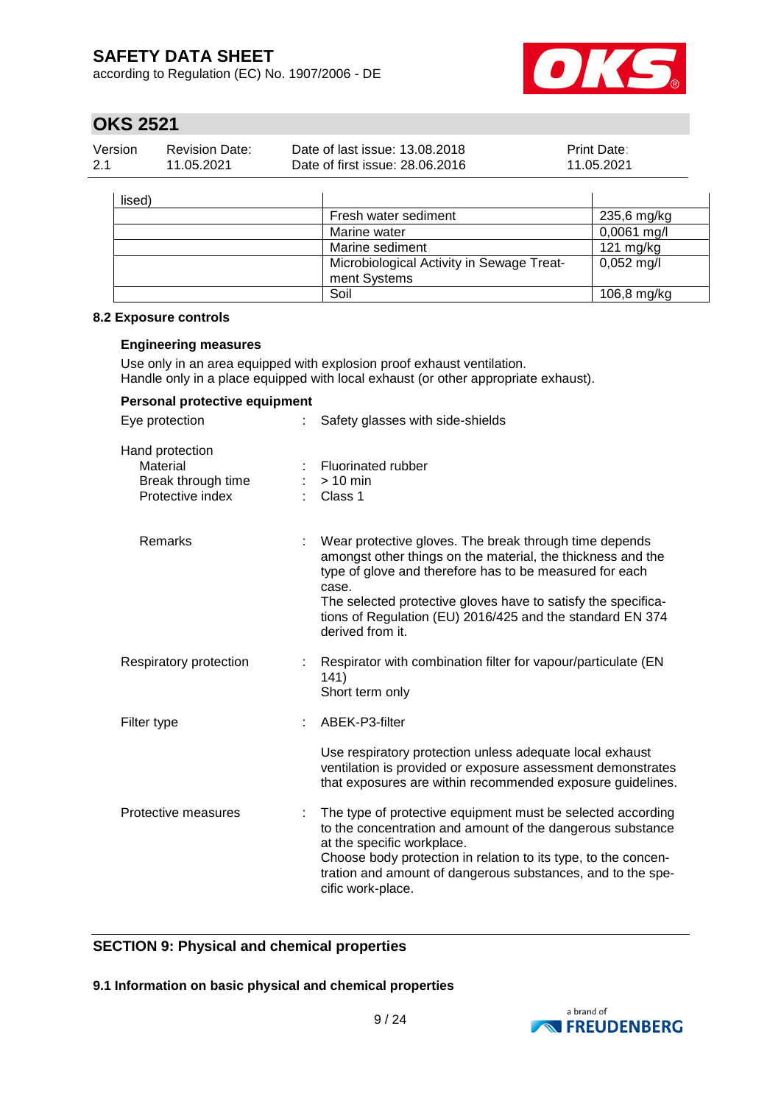according to Regulation (EC) No. 1907/2006 - DE



# **OKS 2521**

| Version | <b>Revision Date:</b> | Date of last issue: 13.08.2018  | <b>Print Date:</b> |
|---------|-----------------------|---------------------------------|--------------------|
| 2.1     | 11.05.2021            | Date of first issue: 28,06,2016 | 11.05.2021         |

| lised) |                                           |                      |
|--------|-------------------------------------------|----------------------|
|        | Fresh water sediment                      | 235,6 mg/kg          |
|        | Marine water                              | $0,0061$ mg/l        |
|        | Marine sediment                           | $121 \text{ mg/kg}$  |
|        | Microbiological Activity in Sewage Treat- | $0,052 \text{ mg/l}$ |
|        | ment Systems                              |                      |
|        | Soil                                      | 106,8 mg/kg          |

#### **8.2 Exposure controls**

#### **Engineering measures**

Use only in an area equipped with explosion proof exhaust ventilation. Handle only in a place equipped with local exhaust (or other appropriate exhaust).

| Personal protective equipment                                         |    |                                                                                                                                                                                                                                                                                                                                             |
|-----------------------------------------------------------------------|----|---------------------------------------------------------------------------------------------------------------------------------------------------------------------------------------------------------------------------------------------------------------------------------------------------------------------------------------------|
| Eye protection                                                        | ÷. | Safety glasses with side-shields                                                                                                                                                                                                                                                                                                            |
| Hand protection<br>Material<br>Break through time<br>Protective index |    | Fluorinated rubber<br>$:$ > 10 min<br>Class 1                                                                                                                                                                                                                                                                                               |
| Remarks                                                               |    | Wear protective gloves. The break through time depends<br>amongst other things on the material, the thickness and the<br>type of glove and therefore has to be measured for each<br>case.<br>The selected protective gloves have to satisfy the specifica-<br>tions of Regulation (EU) 2016/425 and the standard EN 374<br>derived from it. |
| Respiratory protection                                                |    | Respirator with combination filter for vapour/particulate (EN<br>141)<br>Short term only                                                                                                                                                                                                                                                    |
| Filter type                                                           |    | ABEK-P3-filter                                                                                                                                                                                                                                                                                                                              |
|                                                                       |    | Use respiratory protection unless adequate local exhaust<br>ventilation is provided or exposure assessment demonstrates<br>that exposures are within recommended exposure guidelines.                                                                                                                                                       |
| Protective measures                                                   | ÷  | The type of protective equipment must be selected according<br>to the concentration and amount of the dangerous substance<br>at the specific workplace.<br>Choose body protection in relation to its type, to the concen-<br>tration and amount of dangerous substances, and to the spe-<br>cific work-place.                               |

### **SECTION 9: Physical and chemical properties**

**9.1 Information on basic physical and chemical properties**

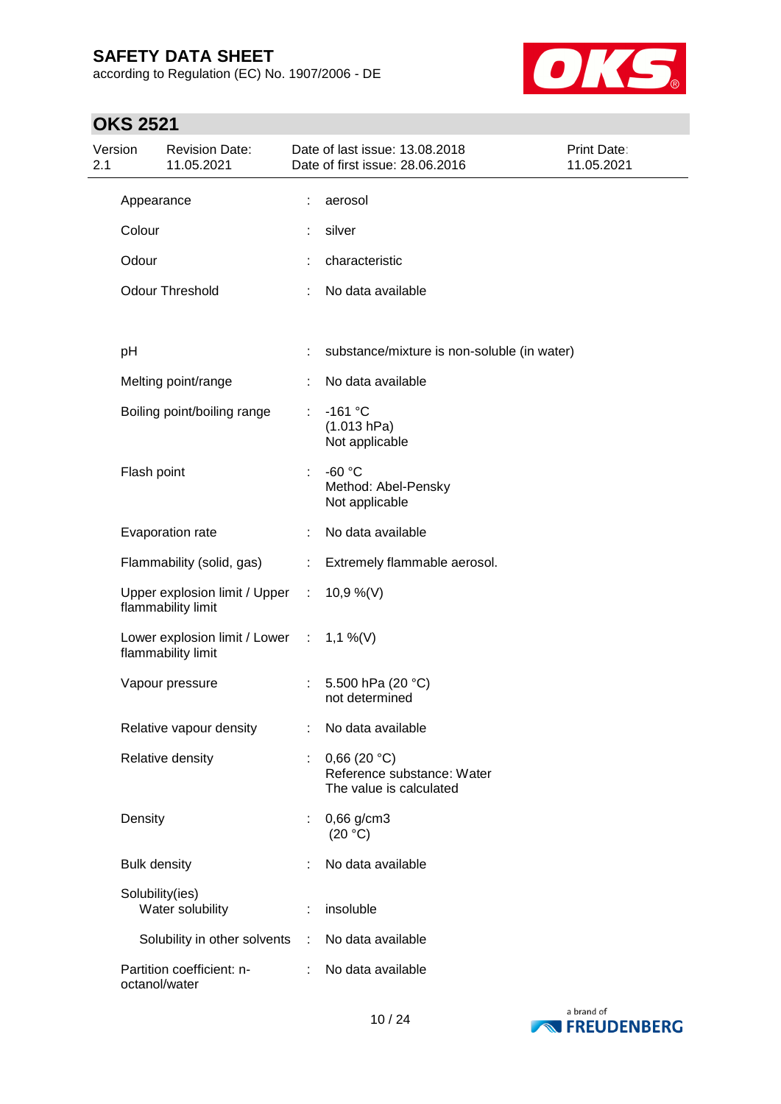according to Regulation (EC) No. 1907/2006 - DE



# **OKS 2521**

| 2.1 | Version             | <b>Revision Date:</b><br>11.05.2021                               |    | Date of last issue: 13.08.2018<br>Date of first issue: 28.06.2016    | Print Date:<br>11.05.2021 |
|-----|---------------------|-------------------------------------------------------------------|----|----------------------------------------------------------------------|---------------------------|
|     | Appearance          |                                                                   |    | aerosol                                                              |                           |
|     | Colour              |                                                                   |    | silver                                                               |                           |
|     | Odour               |                                                                   |    | characteristic                                                       |                           |
|     |                     | <b>Odour Threshold</b>                                            |    | No data available                                                    |                           |
|     | рH                  |                                                                   |    | substance/mixture is non-soluble (in water)                          |                           |
|     |                     |                                                                   |    |                                                                      |                           |
|     |                     | Melting point/range                                               |    | No data available                                                    |                           |
|     |                     | Boiling point/boiling range                                       | ÷. | $-161$ °C<br>(1.013 hPa)<br>Not applicable                           |                           |
|     | Flash point         |                                                                   | ÷. | $-60 °C$<br>Method: Abel-Pensky<br>Not applicable                    |                           |
|     |                     | Evaporation rate                                                  |    | No data available                                                    |                           |
|     |                     | Flammability (solid, gas)                                         | ÷. | Extremely flammable aerosol.                                         |                           |
|     |                     | Upper explosion limit / Upper :<br>flammability limit             |    | 10,9 %(V)                                                            |                           |
|     |                     | Lower explosion limit / Lower : $1,1\%$ (V)<br>flammability limit |    |                                                                      |                           |
|     |                     | Vapour pressure                                                   |    | 5.500 hPa (20 °C)<br>not determined                                  |                           |
|     |                     | Relative vapour density                                           |    | No data available                                                    |                           |
|     |                     | Relative density                                                  |    | 0,66(20 °C)<br>Reference substance: Water<br>The value is calculated |                           |
|     | Density             |                                                                   |    | $0,66$ g/cm3<br>(20 °C)                                              |                           |
|     | <b>Bulk density</b> |                                                                   |    | No data available                                                    |                           |
|     |                     | Solubility(ies)<br>Water solubility                               |    | insoluble                                                            |                           |
|     |                     | Solubility in other solvents :                                    |    | No data available                                                    |                           |
|     |                     | Partition coefficient: n-<br>octanol/water                        |    | No data available                                                    |                           |

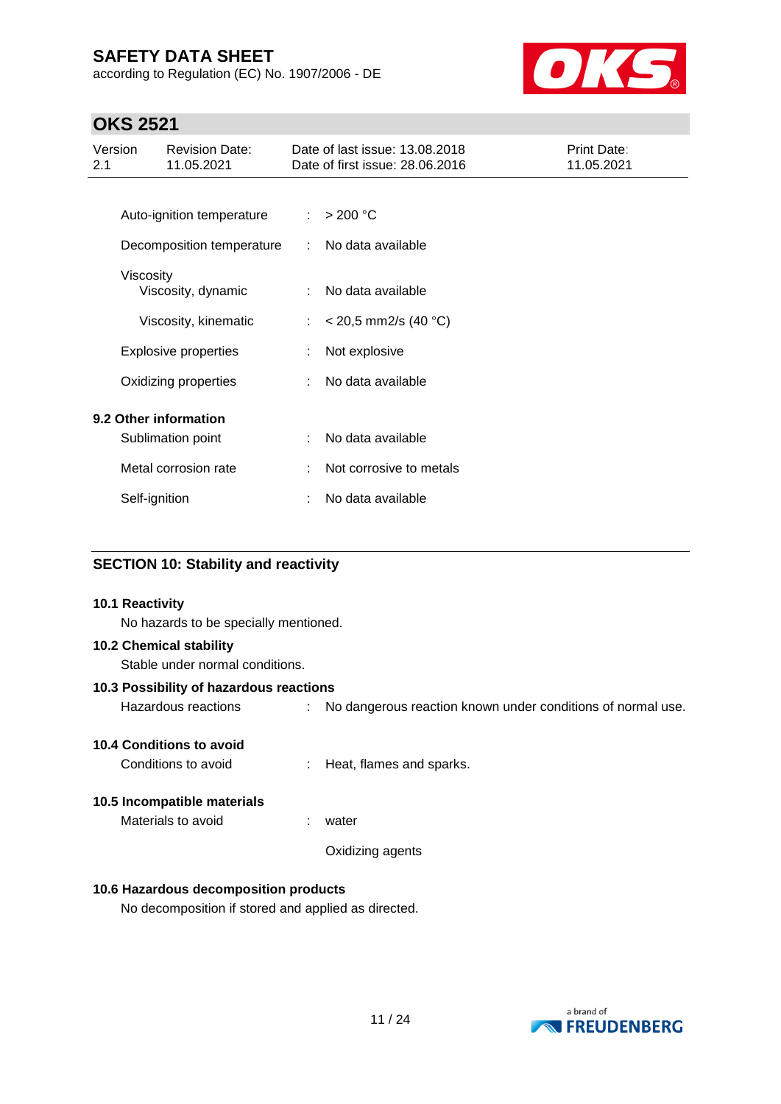according to Regulation (EC) No. 1907/2006 - DE



# **OKS 2521**

| <b>Revision Date:</b><br>Version<br>11.05.2021<br>2.1 | Date of last issue: 13.08.2018<br>Date of first issue: 28.06.2016 | Print Date:<br>11.05.2021 |
|-------------------------------------------------------|-------------------------------------------------------------------|---------------------------|
|                                                       |                                                                   |                           |
| Auto-ignition temperature                             | > 200 °C<br>÷                                                     |                           |
| Decomposition temperature                             | No data available<br>÷                                            |                           |
| Viscosity                                             |                                                                   |                           |
| Viscosity, dynamic                                    | No data available<br>÷                                            |                           |
| Viscosity, kinematic                                  | $<$ 20,5 mm2/s (40 °C)<br>÷                                       |                           |
| <b>Explosive properties</b>                           | Not explosive<br>÷                                                |                           |
| Oxidizing properties                                  | No data available                                                 |                           |
| 9.2 Other information                                 |                                                                   |                           |
| Sublimation point                                     | No data available                                                 |                           |
| Metal corrosion rate                                  | Not corrosive to metals                                           |                           |
| Self-ignition                                         | No data available                                                 |                           |

### **SECTION 10: Stability and reactivity**

# **10.1 Reactivity** No hazards to be specially mentioned. **10.2 Chemical stability** Stable under normal conditions. **10.3 Possibility of hazardous reactions** Hazardous reactions : No dangerous reaction known under conditions of normal use. **10.4 Conditions to avoid** Conditions to avoid : Heat, flames and sparks. **10.5 Incompatible materials** Materials to avoid : water Oxidizing agents **10.6 Hazardous decomposition products**

No decomposition if stored and applied as directed.

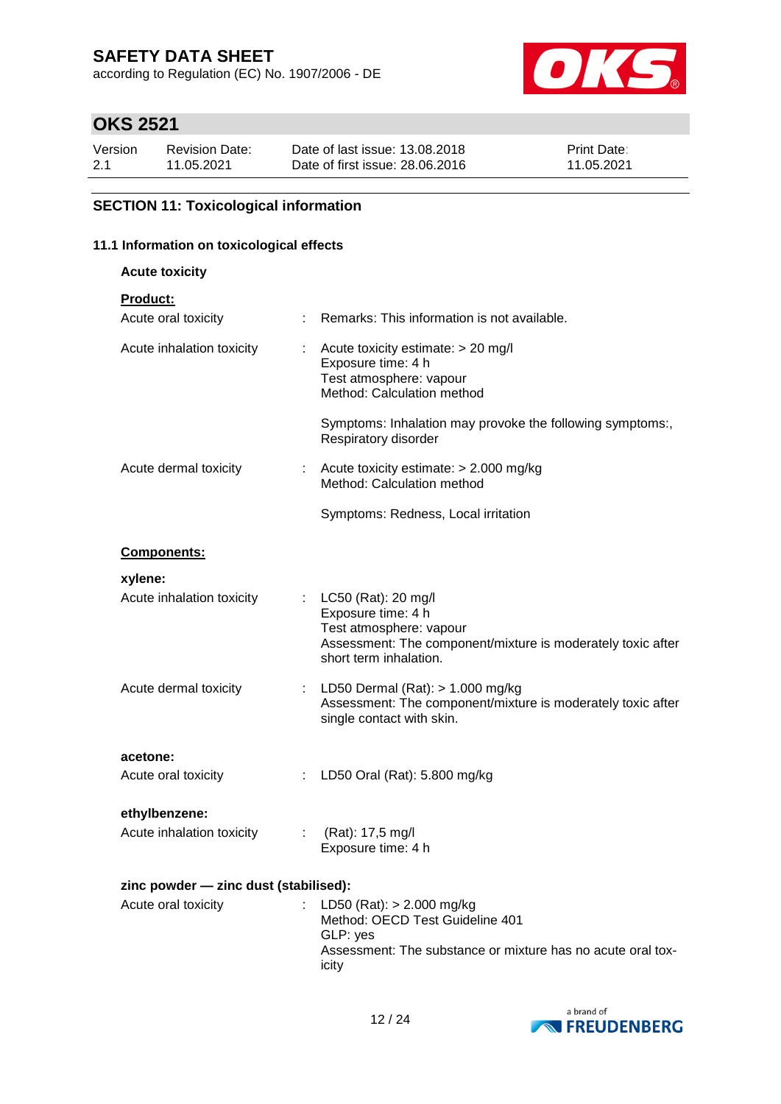according to Regulation (EC) No. 1907/2006 - DE



# **OKS 2521**

| Version | <b>Revision Date:</b> | Date of last issue: 13.08.2018  | <b>Print Date:</b> |
|---------|-----------------------|---------------------------------|--------------------|
| 2.1     | 11.05.2021            | Date of first issue: 28,06,2016 | 11.05.2021         |

## **SECTION 11: Toxicological information**

## **11.1 Information on toxicological effects**

**Acute toxicity**

| Product: |  |  |  |  |
|----------|--|--|--|--|
|          |  |  |  |  |

| Acute oral toxicity                   |    | Remarks: This information is not available.                                                                                                                   |
|---------------------------------------|----|---------------------------------------------------------------------------------------------------------------------------------------------------------------|
| Acute inhalation toxicity             | t  | Acute toxicity estimate: > 20 mg/l<br>Exposure time: 4 h<br>Test atmosphere: vapour<br>Method: Calculation method                                             |
|                                       |    | Symptoms: Inhalation may provoke the following symptoms:,<br>Respiratory disorder                                                                             |
| Acute dermal toxicity                 | t. | Acute toxicity estimate: > 2.000 mg/kg<br>Method: Calculation method                                                                                          |
|                                       |    | Symptoms: Redness, Local irritation                                                                                                                           |
| Components:                           |    |                                                                                                                                                               |
| xylene:                               |    |                                                                                                                                                               |
| Acute inhalation toxicity             | ÷. | LC50 (Rat): 20 mg/l<br>Exposure time: 4 h<br>Test atmosphere: vapour<br>Assessment: The component/mixture is moderately toxic after<br>short term inhalation. |
| Acute dermal toxicity                 | t  | LD50 Dermal $(Rat):$ > 1.000 mg/kg<br>Assessment: The component/mixture is moderately toxic after<br>single contact with skin.                                |
| acetone:                              |    |                                                                                                                                                               |
| Acute oral toxicity                   |    | LD50 Oral (Rat): 5.800 mg/kg                                                                                                                                  |
| ethylbenzene:                         |    |                                                                                                                                                               |
| Acute inhalation toxicity             | ÷  | (Rat): 17,5 mg/l<br>Exposure time: 4 h                                                                                                                        |
| zinc powder - zinc dust (stabilised): |    |                                                                                                                                                               |
| Acute oral toxicity                   |    | LD50 (Rat): $> 2.000$ mg/kg<br>Method: OECD Test Guideline 401<br>GLP: yes<br>Assessment: The substance or mixture has no acute oral tox-<br>icity            |

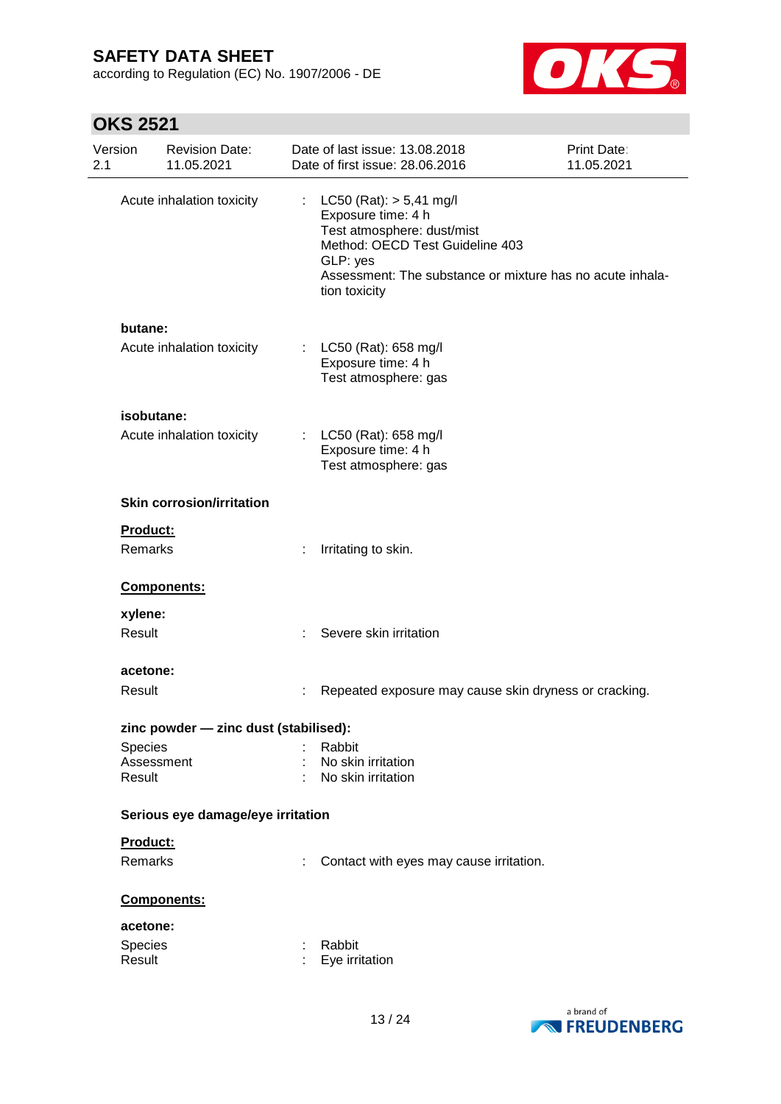according to Regulation (EC) No. 1907/2006 - DE



# **OKS 2521**

| Version<br>2.1 | <b>Revision Date:</b><br>11.05.2021   |    | Date of last issue: 13.08.2018<br>Date of first issue: 28.06.2016                                                                                                                                            | Print Date:<br>11.05.2021 |
|----------------|---------------------------------------|----|--------------------------------------------------------------------------------------------------------------------------------------------------------------------------------------------------------------|---------------------------|
|                | Acute inhalation toxicity             | ÷. | $LC50$ (Rat): $> 5,41$ mg/l<br>Exposure time: 4 h<br>Test atmosphere: dust/mist<br>Method: OECD Test Guideline 403<br>GLP: yes<br>Assessment: The substance or mixture has no acute inhala-<br>tion toxicity |                           |
| butane:        |                                       |    |                                                                                                                                                                                                              |                           |
|                | Acute inhalation toxicity             |    | : $LC50$ (Rat): 658 mg/l<br>Exposure time: 4 h<br>Test atmosphere: gas                                                                                                                                       |                           |
|                | isobutane:                            |    |                                                                                                                                                                                                              |                           |
|                | Acute inhalation toxicity             |    | : $LC50$ (Rat): 658 mg/l<br>Exposure time: 4 h<br>Test atmosphere: gas                                                                                                                                       |                           |
|                | <b>Skin corrosion/irritation</b>      |    |                                                                                                                                                                                                              |                           |
| Product:       |                                       |    |                                                                                                                                                                                                              |                           |
| <b>Remarks</b> |                                       |    | Irritating to skin.                                                                                                                                                                                          |                           |
|                | Components:                           |    |                                                                                                                                                                                                              |                           |
| xylene:        |                                       |    |                                                                                                                                                                                                              |                           |
| Result         |                                       |    | Severe skin irritation                                                                                                                                                                                       |                           |
| acetone:       |                                       |    |                                                                                                                                                                                                              |                           |
| Result         |                                       |    | Repeated exposure may cause skin dryness or cracking.                                                                                                                                                        |                           |
|                | zinc powder - zinc dust (stabilised): |    |                                                                                                                                                                                                              |                           |
| Species        |                                       |    | Rabbit                                                                                                                                                                                                       |                           |
|                | Assessment                            |    | No skin irritation                                                                                                                                                                                           |                           |
| Result         |                                       |    | No skin irritation                                                                                                                                                                                           |                           |
|                | Serious eye damage/eye irritation     |    |                                                                                                                                                                                                              |                           |
| Product:       |                                       |    |                                                                                                                                                                                                              |                           |
| <b>Remarks</b> |                                       |    | Contact with eyes may cause irritation.                                                                                                                                                                      |                           |
|                | Components:                           |    |                                                                                                                                                                                                              |                           |
| acetone:       |                                       |    |                                                                                                                                                                                                              |                           |
| Species        |                                       |    | Rabbit                                                                                                                                                                                                       |                           |
| Result         |                                       |    | Eye irritation                                                                                                                                                                                               |                           |
|                |                                       |    |                                                                                                                                                                                                              |                           |

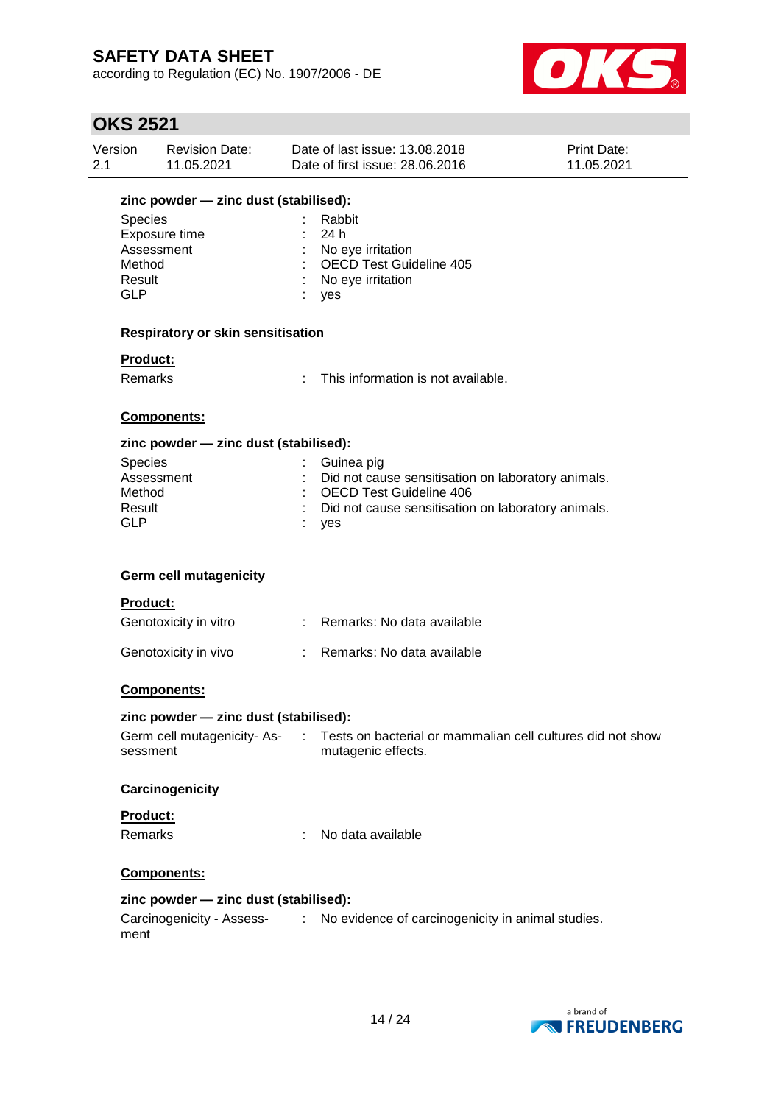according to Regulation (EC) No. 1907/2006 - DE



## **OKS 2521**

| Version | <b>Revision Date:</b> | Date of last issue: 13.08.2018  | <b>Print Date:</b> |
|---------|-----------------------|---------------------------------|--------------------|
| -2.1    | 11.05.2021            | Date of first issue: 28.06.2016 | 11.05.2021         |
|         |                       |                                 |                    |

# **zinc powder — zinc dust (stabilised):**

| <b>Species</b> | : Rabbit                  |
|----------------|---------------------------|
| Exposure time  | : 24h                     |
| Assessment     | : No eye irritation       |
| Method         | : OECD Test Guideline 405 |
| Result         | : No eye irritation       |
| GLP            | <b>ves</b>                |

#### **Respiratory or skin sensitisation**

#### **Product:**

Remarks : This information is not available.

### **Components:**

### **zinc powder — zinc dust (stabilised):**

| Species    | : Guinea pig                                         |
|------------|------------------------------------------------------|
| Assessment | : Did not cause sensitisation on laboratory animals. |
| Method     | : OECD Test Guideline 406                            |
| Result     | : Did not cause sensitisation on laboratory animals. |
| GLP        | : yes                                                |

#### **Germ cell mutagenicity**

#### **Product:**

| Genotoxicity in vitro | Remarks: No data available |
|-----------------------|----------------------------|
| Genotoxicity in vivo  | Remarks: No data available |

### **Components:**

#### **zinc powder — zinc dust (stabilised):**

| Germ cell mutagenicity-As- | Tests on bacterial or mammalian cell cultures did not show |
|----------------------------|------------------------------------------------------------|
| sessment                   | mutagenic effects.                                         |

#### **Carcinogenicity**

### **Product:** Remarks : No data available

#### **Components:**

### **zinc powder — zinc dust (stabilised):**

```
Carcinogenicity - Assess-
: No evidence of carcinogenicity in animal studies.ment
```
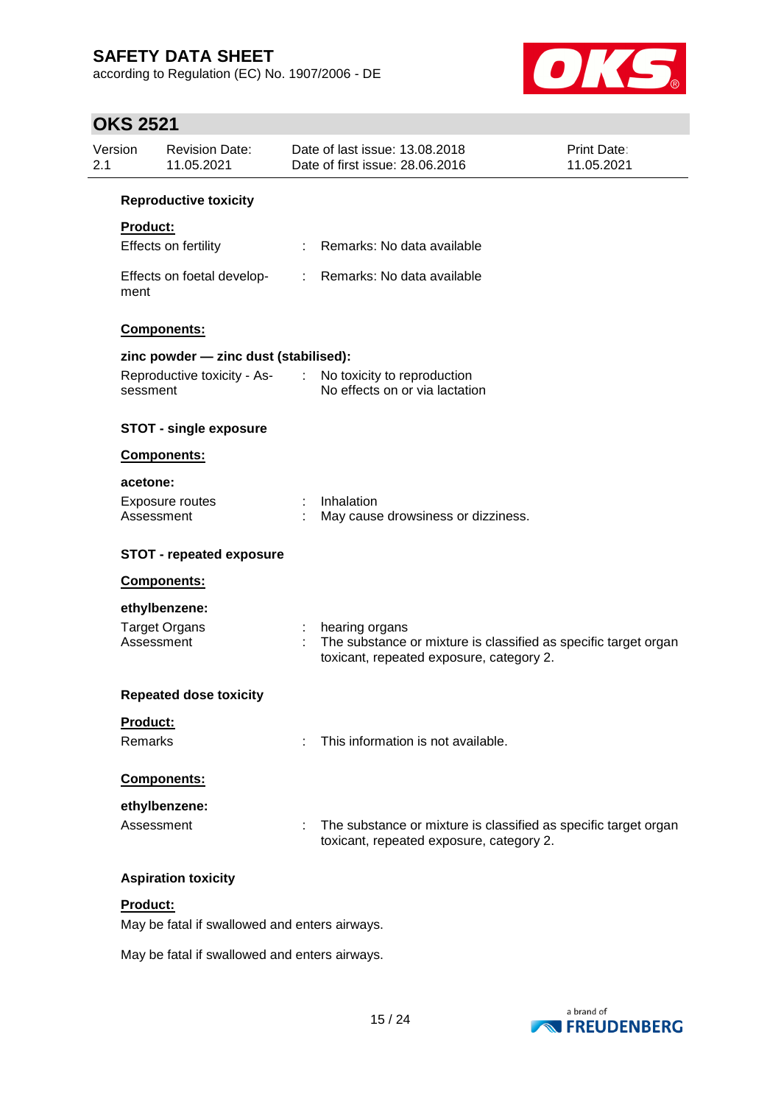according to Regulation (EC) No. 1907/2006 - DE



# **OKS 2521**

| Version<br>2.1  | <b>Revision Date:</b><br>11.05.2021   | Date of last issue: 13.08.2018<br>Date of first issue: 28.06.2016                                           | <b>Print Date:</b><br>11.05.2021                                |
|-----------------|---------------------------------------|-------------------------------------------------------------------------------------------------------------|-----------------------------------------------------------------|
|                 | <b>Reproductive toxicity</b>          |                                                                                                             |                                                                 |
| <b>Product:</b> |                                       |                                                                                                             |                                                                 |
|                 | Effects on fertility                  | : Remarks: No data available                                                                                |                                                                 |
| ment            | Effects on foetal develop-            | : Remarks: No data available                                                                                |                                                                 |
|                 | Components:                           |                                                                                                             |                                                                 |
|                 | zinc powder - zinc dust (stabilised): |                                                                                                             |                                                                 |
| sessment        |                                       | Reproductive toxicity - As- : No toxicity to reproduction<br>No effects on or via lactation                 |                                                                 |
|                 | <b>STOT - single exposure</b>         |                                                                                                             |                                                                 |
|                 | <b>Components:</b>                    |                                                                                                             |                                                                 |
| acetone:        |                                       |                                                                                                             |                                                                 |
|                 | Exposure routes<br>Assessment         | Inhalation<br>May cause drowsiness or dizziness.                                                            |                                                                 |
|                 | <b>STOT - repeated exposure</b>       |                                                                                                             |                                                                 |
|                 | Components:                           |                                                                                                             |                                                                 |
|                 | ethylbenzene:                         |                                                                                                             |                                                                 |
|                 | <b>Target Organs</b><br>Assessment    | hearing organs<br>toxicant, repeated exposure, category 2.                                                  | The substance or mixture is classified as specific target organ |
|                 | <b>Repeated dose toxicity</b>         |                                                                                                             |                                                                 |
| Product:        |                                       |                                                                                                             |                                                                 |
| Remarks         |                                       | This information is not available.                                                                          |                                                                 |
|                 | <b>Components:</b>                    |                                                                                                             |                                                                 |
|                 | ethylbenzene:                         |                                                                                                             |                                                                 |
|                 | Assessment                            | The substance or mixture is classified as specific target organ<br>toxicant, repeated exposure, category 2. |                                                                 |
|                 | <b>Aspiration toxicity</b>            |                                                                                                             |                                                                 |
| Product:        |                                       |                                                                                                             |                                                                 |

May be fatal if swallowed and enters airways.

May be fatal if swallowed and enters airways.

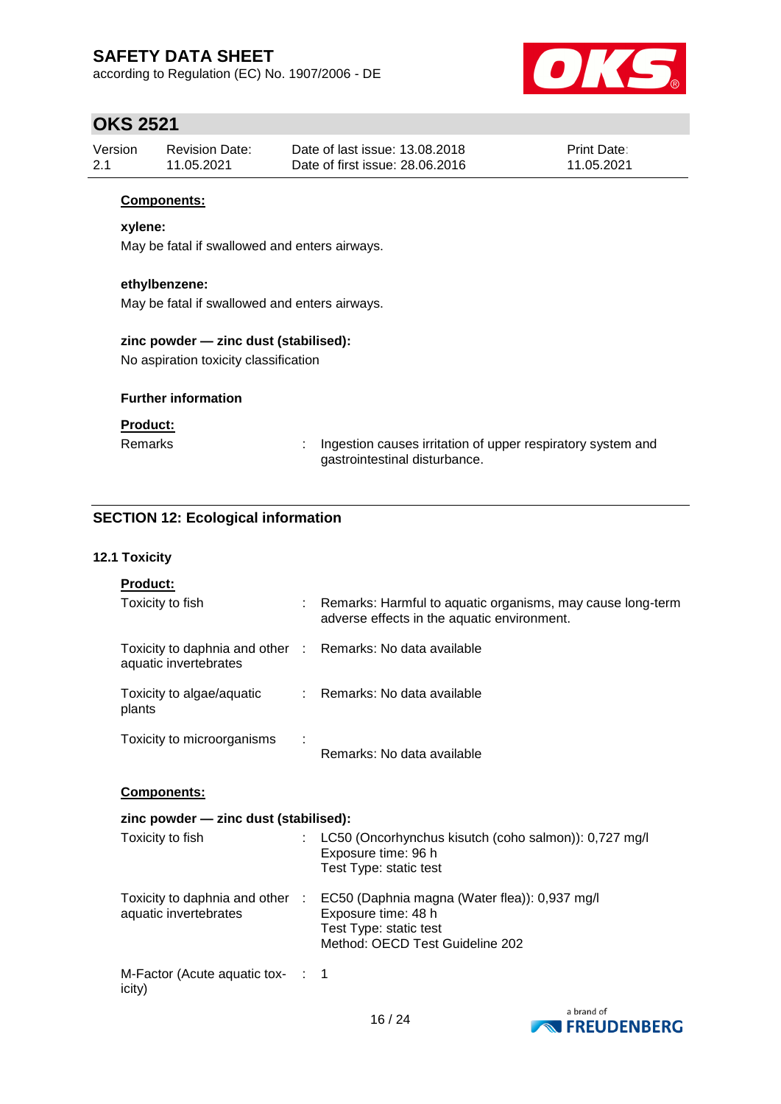according to Regulation (EC) No. 1907/2006 - DE



## **OKS 2521**

| Version | Revision Date: | Date of last issue: 13.08.2018  | <b>Print Date:</b> |
|---------|----------------|---------------------------------|--------------------|
| -2.1    | 11.05.2021     | Date of first issue: 28,06,2016 | 11.05.2021         |

### **Components:**

### **xylene:**

May be fatal if swallowed and enters airways.

### **ethylbenzene:**

May be fatal if swallowed and enters airways.

## **zinc powder — zinc dust (stabilised):**

No aspiration toxicity classification

### **Further information**

### **Product:**

Remarks : Ingestion causes irritation of upper respiratory system and gastrointestinal disturbance.

## **SECTION 12: Ecological information**

### **12.1 Toxicity**

| <b>Product:</b>                                                                     |  |                                                                                                                                                                   |  |  |  |
|-------------------------------------------------------------------------------------|--|-------------------------------------------------------------------------------------------------------------------------------------------------------------------|--|--|--|
| Toxicity to fish                                                                    |  | : Remarks: Harmful to aquatic organisms, may cause long-term<br>adverse effects in the aquatic environment.                                                       |  |  |  |
| Toxicity to daphnia and other : Remarks: No data available<br>aquatic invertebrates |  |                                                                                                                                                                   |  |  |  |
| Toxicity to algae/aquatic<br>plants                                                 |  | : Remarks: No data available                                                                                                                                      |  |  |  |
| Toxicity to microorganisms                                                          |  | Remarks: No data available                                                                                                                                        |  |  |  |
| <b>Components:</b>                                                                  |  |                                                                                                                                                                   |  |  |  |
| zinc powder - zinc dust (stabilised):                                               |  |                                                                                                                                                                   |  |  |  |
| Toxicity to fish                                                                    |  | LC50 (Oncorhynchus kisutch (coho salmon)): 0,727 mg/l<br>Exposure time: 96 h<br>Test Type: static test                                                            |  |  |  |
| aquatic invertebrates                                                               |  | Toxicity to daphnia and other : EC50 (Daphnia magna (Water flea)): 0,937 mg/l<br>Exposure time: 48 h<br>Test Type: static test<br>Method: OECD Test Guideline 202 |  |  |  |
| M-Factor (Acute aquatic tox- :<br>icity)                                            |  | -1                                                                                                                                                                |  |  |  |

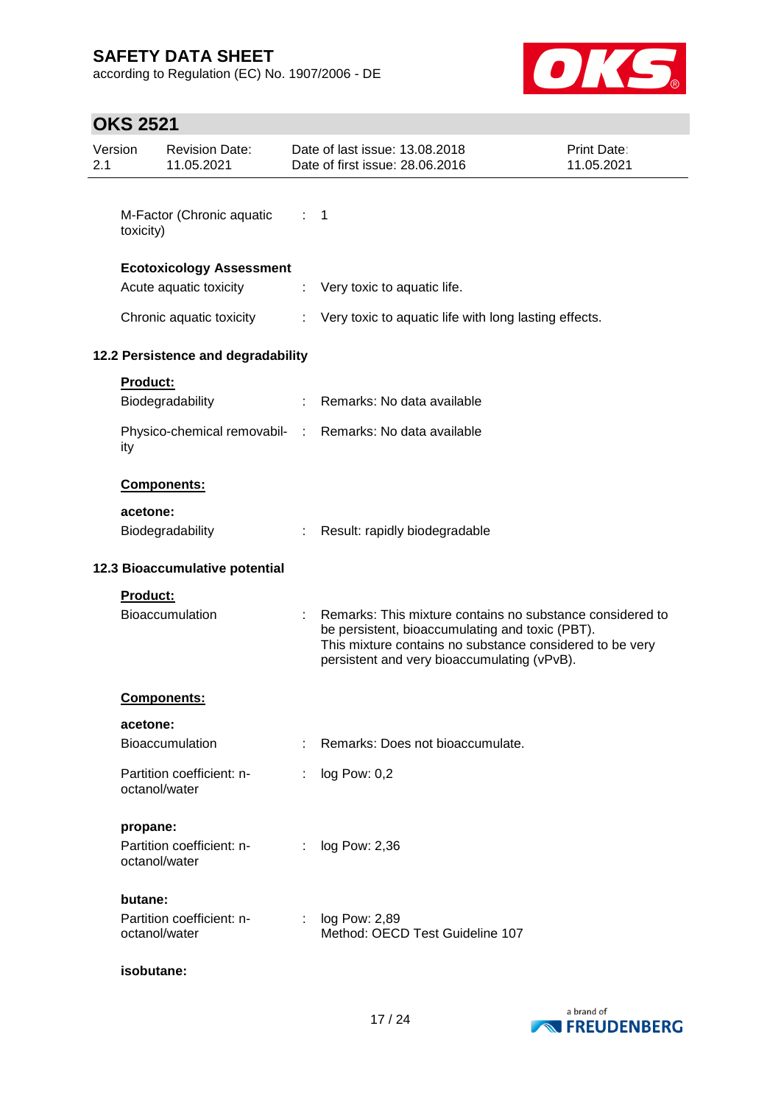according to Regulation (EC) No. 1907/2006 - DE



# **OKS 2521**

| 2.1                                | Version         | <b>Revision Date:</b><br>11.05.2021        |                                                                                                                                                                                                                         | Date of last issue: 13.08.2018<br>Date of first issue: 28.06.2016 | Print Date:<br>11.05.2021 |
|------------------------------------|-----------------|--------------------------------------------|-------------------------------------------------------------------------------------------------------------------------------------------------------------------------------------------------------------------------|-------------------------------------------------------------------|---------------------------|
|                                    | toxicity)       | M-Factor (Chronic aquatic                  | $\therefore$ 1                                                                                                                                                                                                          |                                                                   |                           |
|                                    |                 | <b>Ecotoxicology Assessment</b>            |                                                                                                                                                                                                                         |                                                                   |                           |
|                                    |                 | Acute aquatic toxicity                     | ÷                                                                                                                                                                                                                       | Very toxic to aquatic life.                                       |                           |
|                                    |                 | Chronic aquatic toxicity                   | ÷                                                                                                                                                                                                                       | Very toxic to aquatic life with long lasting effects.             |                           |
|                                    |                 | 12.2 Persistence and degradability         |                                                                                                                                                                                                                         |                                                                   |                           |
|                                    | <b>Product:</b> | Biodegradability                           |                                                                                                                                                                                                                         | Remarks: No data available                                        |                           |
|                                    | ity             |                                            |                                                                                                                                                                                                                         | Physico-chemical removabil- : Remarks: No data available          |                           |
|                                    |                 | Components:                                |                                                                                                                                                                                                                         |                                                                   |                           |
|                                    | acetone:        | Biodegradability                           |                                                                                                                                                                                                                         | Result: rapidly biodegradable                                     |                           |
|                                    |                 | 12.3 Bioaccumulative potential             |                                                                                                                                                                                                                         |                                                                   |                           |
| Product:<br><b>Bioaccumulation</b> |                 |                                            | Remarks: This mixture contains no substance considered to<br>be persistent, bioaccumulating and toxic (PBT).<br>This mixture contains no substance considered to be very<br>persistent and very bioaccumulating (vPvB). |                                                                   |                           |
|                                    |                 | <b>Components:</b>                         |                                                                                                                                                                                                                         |                                                                   |                           |
|                                    | acetone:        |                                            |                                                                                                                                                                                                                         |                                                                   |                           |
|                                    |                 | <b>Bioaccumulation</b>                     |                                                                                                                                                                                                                         | Remarks: Does not bioaccumulate.                                  |                           |
|                                    |                 | Partition coefficient: n-<br>octanol/water |                                                                                                                                                                                                                         | log Pow: 0,2                                                      |                           |
|                                    | propane:        |                                            |                                                                                                                                                                                                                         |                                                                   |                           |
|                                    |                 | Partition coefficient: n-<br>octanol/water | ÷                                                                                                                                                                                                                       | log Pow: 2,36                                                     |                           |
|                                    | butane:         |                                            |                                                                                                                                                                                                                         |                                                                   |                           |
|                                    |                 | Partition coefficient: n-<br>octanol/water |                                                                                                                                                                                                                         | log Pow: 2,89<br>Method: OECD Test Guideline 107                  |                           |
|                                    | isobutane:      |                                            |                                                                                                                                                                                                                         |                                                                   |                           |

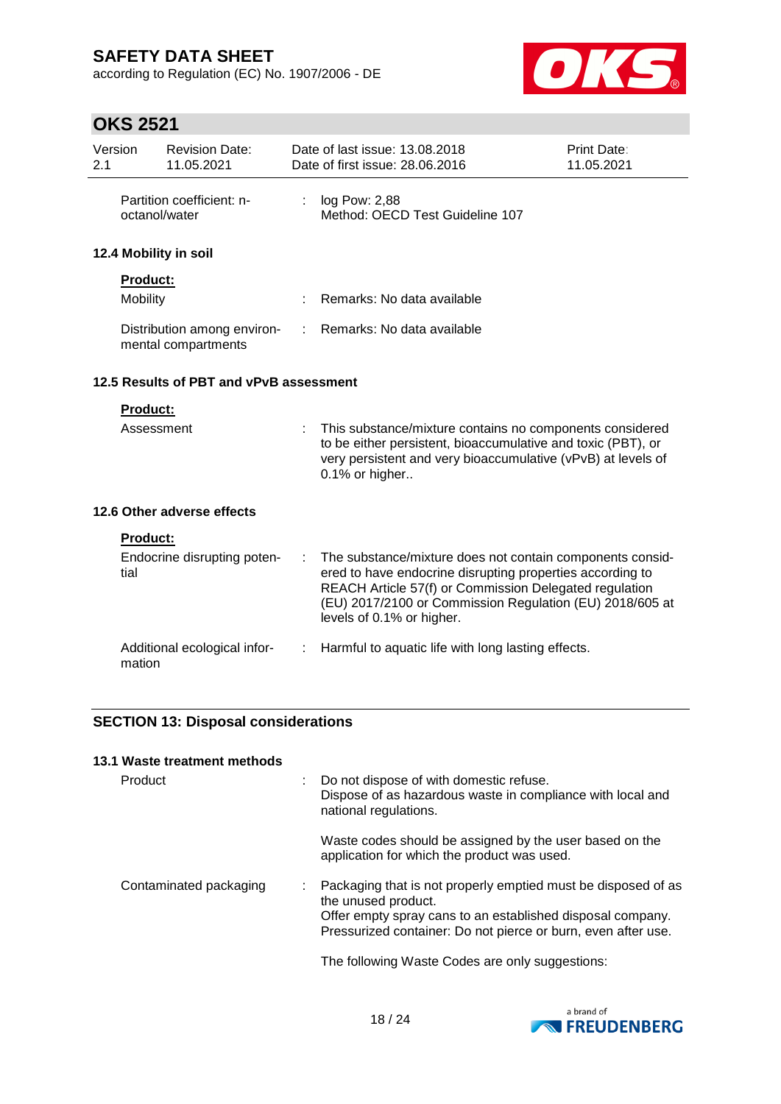according to Regulation (EC) No. 1907/2006 - DE



# **OKS 2521**

| Version<br>2.1 |                 | <b>Revision Date:</b><br>11.05.2021                |    | Date of last issue: 13.08.2018<br>Date of first issue: 28.06.2016                                                                                                                                                                                                         | Print Date:<br>11.05.2021 |
|----------------|-----------------|----------------------------------------------------|----|---------------------------------------------------------------------------------------------------------------------------------------------------------------------------------------------------------------------------------------------------------------------------|---------------------------|
|                | octanol/water   | Partition coefficient: n-                          | ÷. | log Pow: 2,88<br>Method: OECD Test Guideline 107                                                                                                                                                                                                                          |                           |
|                |                 | 12.4 Mobility in soil                              |    |                                                                                                                                                                                                                                                                           |                           |
|                | <b>Product:</b> |                                                    |    |                                                                                                                                                                                                                                                                           |                           |
|                | Mobility        |                                                    |    | Remarks: No data available                                                                                                                                                                                                                                                |                           |
|                |                 | Distribution among environ-<br>mental compartments |    | Remarks: No data available                                                                                                                                                                                                                                                |                           |
|                |                 | 12.5 Results of PBT and vPvB assessment            |    |                                                                                                                                                                                                                                                                           |                           |
|                | <b>Product:</b> |                                                    |    |                                                                                                                                                                                                                                                                           |                           |
|                | Assessment      |                                                    |    | This substance/mixture contains no components considered<br>to be either persistent, bioaccumulative and toxic (PBT), or<br>very persistent and very bioaccumulative (vPvB) at levels of<br>0.1% or higher                                                                |                           |
|                |                 | 12.6 Other adverse effects                         |    |                                                                                                                                                                                                                                                                           |                           |
|                | <b>Product:</b> |                                                    |    |                                                                                                                                                                                                                                                                           |                           |
|                | tial            | Endocrine disrupting poten-                        |    | The substance/mixture does not contain components consid-<br>ered to have endocrine disrupting properties according to<br>REACH Article 57(f) or Commission Delegated regulation<br>(EU) 2017/2100 or Commission Regulation (EU) 2018/605 at<br>levels of 0.1% or higher. |                           |
|                | mation          | Additional ecological infor-                       | ÷  | Harmful to aquatic life with long lasting effects.                                                                                                                                                                                                                        |                           |

## **SECTION 13: Disposal considerations**

| Do not dispose of with domestic refuse.<br>Dispose of as hazardous waste in compliance with local and<br>national regulations.                                                                                      |
|---------------------------------------------------------------------------------------------------------------------------------------------------------------------------------------------------------------------|
|                                                                                                                                                                                                                     |
| Waste codes should be assigned by the user based on the<br>application for which the product was used.                                                                                                              |
| Packaging that is not properly emptied must be disposed of as<br>the unused product.<br>Offer empty spray cans to an established disposal company.<br>Pressurized container: Do not pierce or burn, even after use. |
|                                                                                                                                                                                                                     |

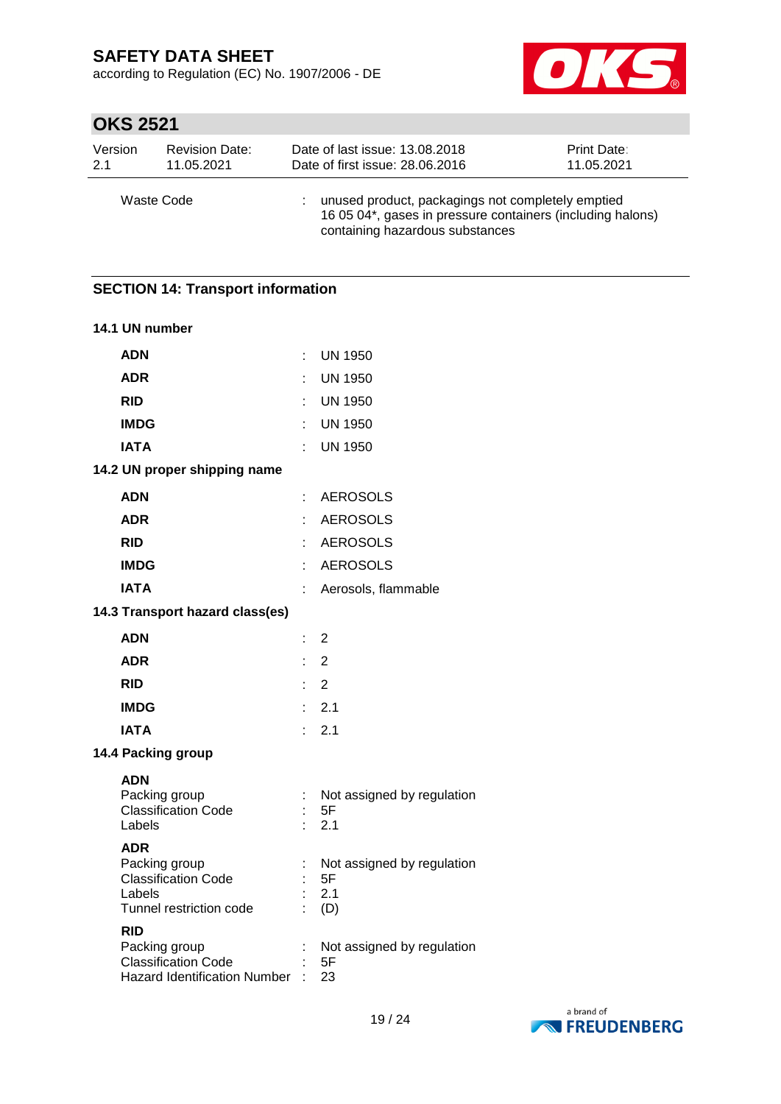according to Regulation (EC) No. 1907/2006 - DE



# **OKS 2521**

| Version    | <b>Revision Date:</b> | Date of last issue: 13.08.2018                                                                                                                     | <b>Print Date:</b> |
|------------|-----------------------|----------------------------------------------------------------------------------------------------------------------------------------------------|--------------------|
| 2.1        | 11.05.2021            | Date of first issue: 28.06.2016                                                                                                                    | 11.05.2021         |
| Waste Code |                       | unused product, packagings not completely emptied<br>16 05 04*, gases in pressure containers (including halons)<br>containing hazardous substances |                    |

# **SECTION 14: Transport information 14.1 UN number ADN** : UN 1950 **ADR** : UN 1950 **RID** : UN 1950 **IMDG** : UN 1950 **IATA** : UN 1950 **14.2 UN proper shipping name ADN** : AEROSOLS **ADR** : AEROSOLS **RID** : AEROSOLS **IMDG** : AEROSOLS **IATA** : Aerosols, flammable **14.3 Transport hazard class(es) ADN** : 2 **ADR** : 2 **RID** : 2 **IMDG** : 2.1 **IATA** : 2.1 **14.4 Packing group ADN** Packing group : Not assigned by regulation Classification Code : 5F<br>Labels : 2.1  $\therefore$  2.1 **ADR** Packing group : Not assigned by regulation Classification Code : 5F Labels : 2.1 Tunnel restriction code : (D) **RID** Packing group : Not assigned by regulation Classification Code : 5F Hazard Identification Number : 23

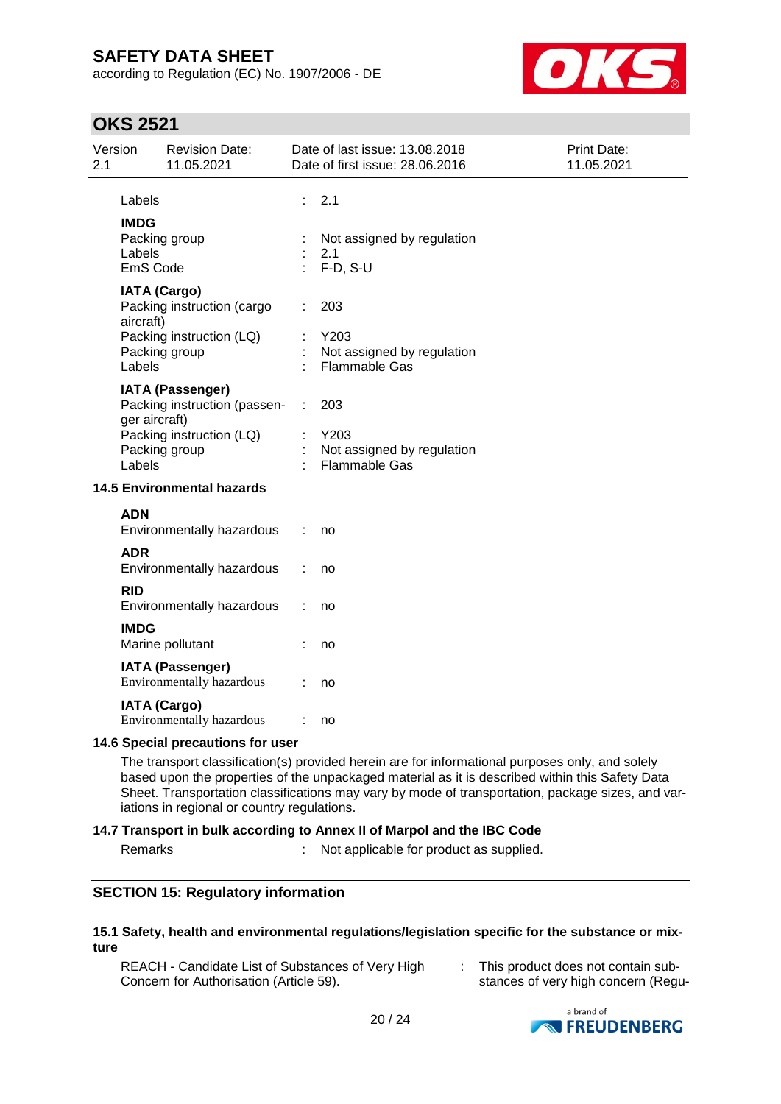according to Regulation (EC) No. 1907/2006 - DE



## **OKS 2521**

| 2.1 | Version                           | <b>Revision Date:</b><br>11.05.2021                                                            |    | Date of last issue: 13.08.2018<br>Date of first issue: 28.06.2016 | Print Date:<br>11.05.2021 |
|-----|-----------------------------------|------------------------------------------------------------------------------------------------|----|-------------------------------------------------------------------|---------------------------|
|     | Labels                            |                                                                                                | ÷. | 2.1                                                               |                           |
|     | <b>IMDG</b><br>Labels<br>EmS Code | Packing group                                                                                  |    | Not assigned by regulation<br>2.1<br>$F-D, S-U$                   |                           |
|     | aircraft)                         | <b>IATA (Cargo)</b><br>Packing instruction (cargo<br>Packing instruction (LQ)<br>Packing group |    | 203<br>Y203<br>Not assigned by regulation                         |                           |
|     | Labels                            |                                                                                                |    | <b>Flammable Gas</b>                                              |                           |
|     | ger aircraft)                     | <b>IATA (Passenger)</b><br>Packing instruction (passen-<br>Packing instruction (LQ)            | ÷  | 203<br>Y203                                                       |                           |
|     | Labels                            | Packing group                                                                                  |    | Not assigned by regulation<br><b>Flammable Gas</b>                |                           |
|     |                                   | <b>14.5 Environmental hazards</b>                                                              |    |                                                                   |                           |
|     | <b>ADN</b>                        | Environmentally hazardous                                                                      | ÷  | no                                                                |                           |
|     | <b>ADR</b>                        | Environmentally hazardous                                                                      |    | no                                                                |                           |
|     | <b>RID</b>                        | Environmentally hazardous                                                                      |    | no                                                                |                           |
|     | <b>IMDG</b>                       | Marine pollutant                                                                               |    | no                                                                |                           |
|     |                                   | <b>IATA (Passenger)</b><br>Environmentally hazardous                                           |    | no                                                                |                           |
|     |                                   | <b>IATA (Cargo)</b><br>Environmentally hazardous                                               |    | no                                                                |                           |
|     |                                   |                                                                                                |    |                                                                   |                           |

### **14.6 Special precautions for user**

The transport classification(s) provided herein are for informational purposes only, and solely based upon the properties of the unpackaged material as it is described within this Safety Data Sheet. Transportation classifications may vary by mode of transportation, package sizes, and variations in regional or country regulations.

### **14.7 Transport in bulk according to Annex II of Marpol and the IBC Code**

Remarks : Not applicable for product as supplied.

### **SECTION 15: Regulatory information**

#### **15.1 Safety, health and environmental regulations/legislation specific for the substance or mixture**

REACH - Candidate List of Substances of Very High Concern for Authorisation (Article 59).

: This product does not contain substances of very high concern (Regu-

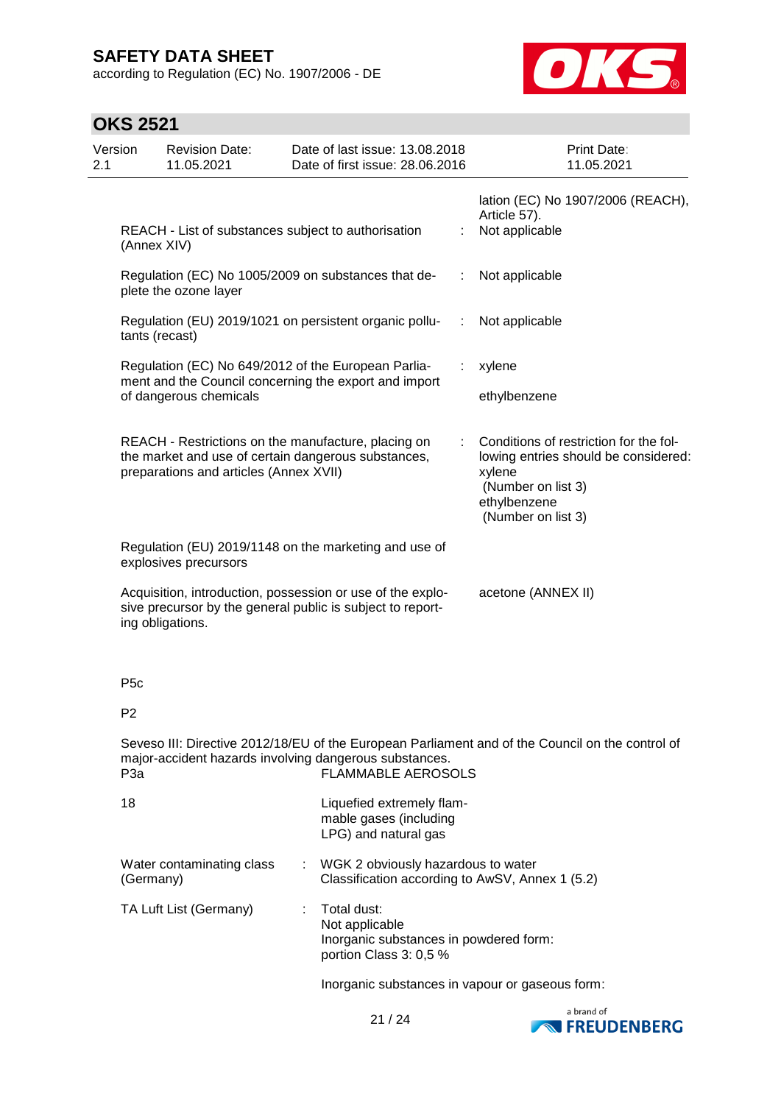according to Regulation (EC) No. 1907/2006 - DE



# **OKS 2521**

| Version<br>2.1                                                                                                                                                                                              | <b>Revision Date:</b><br>11.05.2021                                                                                                                  |   | Date of last issue: 13.08.2018<br>Date of first issue: 28.06.2016                                 |    | Print Date:<br>11.05.2021                                                                                                                            |  |
|-------------------------------------------------------------------------------------------------------------------------------------------------------------------------------------------------------------|------------------------------------------------------------------------------------------------------------------------------------------------------|---|---------------------------------------------------------------------------------------------------|----|------------------------------------------------------------------------------------------------------------------------------------------------------|--|
|                                                                                                                                                                                                             | REACH - List of substances subject to authorisation<br>(Annex XIV)                                                                                   |   |                                                                                                   |    | lation (EC) No 1907/2006 (REACH),<br>Article 57).<br>Not applicable                                                                                  |  |
|                                                                                                                                                                                                             | Regulation (EC) No 1005/2009 on substances that de-<br>plete the ozone layer                                                                         |   |                                                                                                   |    | Not applicable                                                                                                                                       |  |
|                                                                                                                                                                                                             | Regulation (EU) 2019/1021 on persistent organic pollu-<br>tants (recast)                                                                             |   |                                                                                                   | ÷. | Not applicable                                                                                                                                       |  |
|                                                                                                                                                                                                             | Regulation (EC) No 649/2012 of the European Parlia-<br>ment and the Council concerning the export and import<br>of dangerous chemicals               |   |                                                                                                   |    | xylene<br>ethylbenzene                                                                                                                               |  |
|                                                                                                                                                                                                             | REACH - Restrictions on the manufacture, placing on<br>the market and use of certain dangerous substances,<br>preparations and articles (Annex XVII) |   |                                                                                                   |    | Conditions of restriction for the fol-<br>lowing entries should be considered:<br>xylene<br>(Number on list 3)<br>ethylbenzene<br>(Number on list 3) |  |
| Regulation (EU) 2019/1148 on the marketing and use of<br>explosives precursors                                                                                                                              |                                                                                                                                                      |   |                                                                                                   |    |                                                                                                                                                      |  |
|                                                                                                                                                                                                             | Acquisition, introduction, possession or use of the explo-<br>sive precursor by the general public is subject to report-<br>ing obligations.         |   |                                                                                                   |    | acetone (ANNEX II)                                                                                                                                   |  |
| P <sub>5</sub> c                                                                                                                                                                                            |                                                                                                                                                      |   |                                                                                                   |    |                                                                                                                                                      |  |
| P <sub>2</sub>                                                                                                                                                                                              |                                                                                                                                                      |   |                                                                                                   |    |                                                                                                                                                      |  |
| Seveso III: Directive 2012/18/EU of the European Parliament and of the Council on the control of<br>major-accident hazards involving dangerous substances.<br><b>FLAMMABLE AEROSOLS</b><br>P <sub>3</sub> a |                                                                                                                                                      |   |                                                                                                   |    |                                                                                                                                                      |  |
| 18                                                                                                                                                                                                          |                                                                                                                                                      |   | Liquefied extremely flam-<br>mable gases (including<br>LPG) and natural gas                       |    |                                                                                                                                                      |  |
|                                                                                                                                                                                                             | Water contaminating class<br>(Germany)                                                                                                               |   | WGK 2 obviously hazardous to water<br>Classification according to AwSV, Annex 1 (5.2)             |    |                                                                                                                                                      |  |
|                                                                                                                                                                                                             | TA Luft List (Germany)                                                                                                                               | ÷ | Total dust:<br>Not applicable<br>Inorganic substances in powdered form:<br>portion Class 3: 0,5 % |    |                                                                                                                                                      |  |
|                                                                                                                                                                                                             |                                                                                                                                                      |   | Inorganic substances in vapour or gaseous form:                                                   |    |                                                                                                                                                      |  |

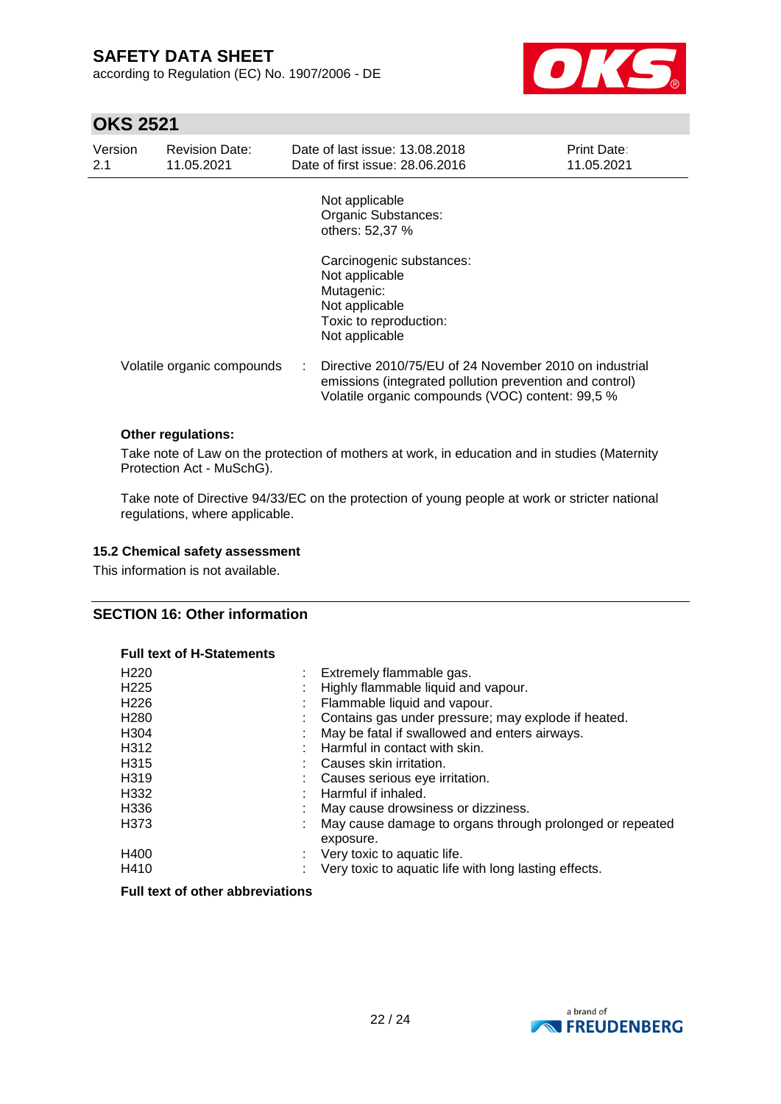according to Regulation (EC) No. 1907/2006 - DE



## **OKS 2521**

| Version<br>2.1 | <b>Revision Date:</b><br>11.05.2021 |   | Date of last issue: 13.08.2018<br>Date of first issue: 28.06.2016                                                                                                     | <b>Print Date:</b><br>11.05.2021 |
|----------------|-------------------------------------|---|-----------------------------------------------------------------------------------------------------------------------------------------------------------------------|----------------------------------|
|                |                                     |   | Not applicable<br>Organic Substances:<br>others: 52,37 %                                                                                                              |                                  |
|                |                                     |   | Carcinogenic substances:<br>Not applicable<br>Mutagenic:<br>Not applicable<br>Toxic to reproduction:<br>Not applicable                                                |                                  |
|                | Volatile organic compounds          | ÷ | Directive 2010/75/EU of 24 November 2010 on industrial<br>emissions (integrated pollution prevention and control)<br>Volatile organic compounds (VOC) content: 99,5 % |                                  |
|                | <b>Other regulations:</b>           |   |                                                                                                                                                                       |                                  |

Take note of Law on the protection of mothers at work, in education and in studies (Maternity Protection Act - MuSchG).

Take note of Directive 94/33/EC on the protection of young people at work or stricter national regulations, where applicable.

#### **15.2 Chemical safety assessment**

This information is not available.

### **SECTION 16: Other information**

#### **Full text of H-Statements**

| Extremely flammable gas.<br>Highly flammable liquid and vapour.       |
|-----------------------------------------------------------------------|
|                                                                       |
| Flammable liquid and vapour.                                          |
| Contains gas under pressure; may explode if heated.                   |
| May be fatal if swallowed and enters airways.                         |
| Harmful in contact with skin.                                         |
| Causes skin irritation.                                               |
| Causes serious eye irritation.                                        |
| Harmful if inhaled.                                                   |
| May cause drowsiness or dizziness.                                    |
| May cause damage to organs through prolonged or repeated<br>exposure. |
| Very toxic to aquatic life.<br>t.                                     |
| Very toxic to aquatic life with long lasting effects.                 |
|                                                                       |

#### **Full text of other abbreviations**

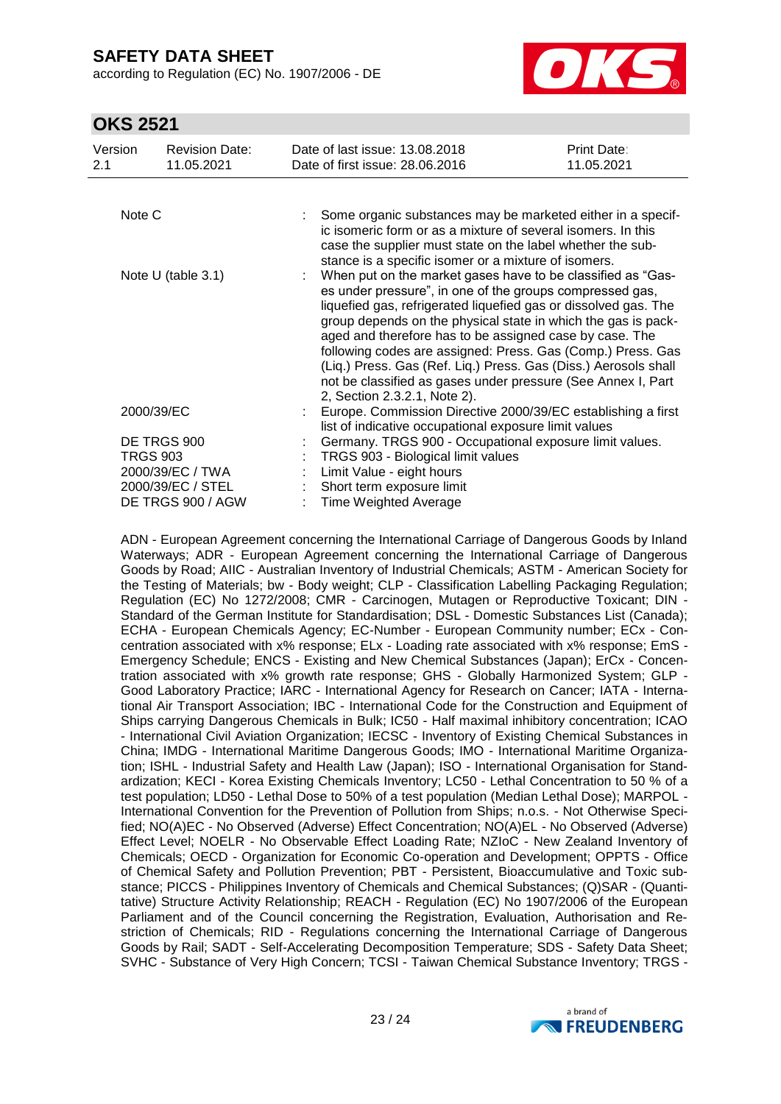according to Regulation (EC) No. 1907/2006 - DE



## **OKS 2521**

| Version<br>2.1          | <b>Revision Date:</b><br>11.05.2021 | Date of last issue: 13.08.2018<br>Date of first issue: 28,06,2016                                                                                                                                                                                                                                                                                                                                                                                                                                                                                        | <b>Print Date:</b><br>11.05.2021 |  |
|-------------------------|-------------------------------------|----------------------------------------------------------------------------------------------------------------------------------------------------------------------------------------------------------------------------------------------------------------------------------------------------------------------------------------------------------------------------------------------------------------------------------------------------------------------------------------------------------------------------------------------------------|----------------------------------|--|
|                         |                                     |                                                                                                                                                                                                                                                                                                                                                                                                                                                                                                                                                          |                                  |  |
| Note C                  |                                     | Some organic substances may be marketed either in a specif-<br>ic isomeric form or as a mixture of several isomers. In this<br>case the supplier must state on the label whether the sub-<br>stance is a specific isomer or a mixture of isomers.                                                                                                                                                                                                                                                                                                        |                                  |  |
| Note U (table 3.1)      |                                     | When put on the market gases have to be classified as "Gas-<br>es under pressure", in one of the groups compressed gas,<br>liquefied gas, refrigerated liquefied gas or dissolved gas. The<br>group depends on the physical state in which the gas is pack-<br>aged and therefore has to be assigned case by case. The<br>following codes are assigned: Press. Gas (Comp.) Press. Gas<br>(Liq.) Press. Gas (Ref. Liq.) Press. Gas (Diss.) Aerosols shall<br>not be classified as gases under pressure (See Annex I, Part<br>2, Section 2.3.2.1, Note 2). |                                  |  |
| 2000/39/EC              |                                     | Europe. Commission Directive 2000/39/EC establishing a first<br>list of indicative occupational exposure limit values                                                                                                                                                                                                                                                                                                                                                                                                                                    |                                  |  |
| DE TRGS 900<br>TRGS 903 |                                     | Germany. TRGS 900 - Occupational exposure limit values.                                                                                                                                                                                                                                                                                                                                                                                                                                                                                                  |                                  |  |
|                         |                                     | TRGS 903 - Biological limit values                                                                                                                                                                                                                                                                                                                                                                                                                                                                                                                       |                                  |  |
|                         | 2000/39/EC / TWA                    | Limit Value - eight hours                                                                                                                                                                                                                                                                                                                                                                                                                                                                                                                                |                                  |  |
|                         | 2000/39/EC / STEL                   | Short term exposure limit                                                                                                                                                                                                                                                                                                                                                                                                                                                                                                                                |                                  |  |
|                         | DE TRGS 900 / AGW                   | <b>Time Weighted Average</b>                                                                                                                                                                                                                                                                                                                                                                                                                                                                                                                             |                                  |  |

ADN - European Agreement concerning the International Carriage of Dangerous Goods by Inland Waterways; ADR - European Agreement concerning the International Carriage of Dangerous Goods by Road; AIIC - Australian Inventory of Industrial Chemicals; ASTM - American Society for the Testing of Materials; bw - Body weight; CLP - Classification Labelling Packaging Regulation; Regulation (EC) No 1272/2008; CMR - Carcinogen, Mutagen or Reproductive Toxicant; DIN - Standard of the German Institute for Standardisation; DSL - Domestic Substances List (Canada); ECHA - European Chemicals Agency; EC-Number - European Community number; ECx - Concentration associated with x% response; ELx - Loading rate associated with x% response; EmS - Emergency Schedule; ENCS - Existing and New Chemical Substances (Japan); ErCx - Concentration associated with x% growth rate response; GHS - Globally Harmonized System; GLP - Good Laboratory Practice; IARC - International Agency for Research on Cancer; IATA - International Air Transport Association; IBC - International Code for the Construction and Equipment of Ships carrying Dangerous Chemicals in Bulk; IC50 - Half maximal inhibitory concentration; ICAO - International Civil Aviation Organization; IECSC - Inventory of Existing Chemical Substances in China; IMDG - International Maritime Dangerous Goods; IMO - International Maritime Organization; ISHL - Industrial Safety and Health Law (Japan); ISO - International Organisation for Standardization; KECI - Korea Existing Chemicals Inventory; LC50 - Lethal Concentration to 50 % of a test population; LD50 - Lethal Dose to 50% of a test population (Median Lethal Dose); MARPOL - International Convention for the Prevention of Pollution from Ships; n.o.s. - Not Otherwise Specified; NO(A)EC - No Observed (Adverse) Effect Concentration; NO(A)EL - No Observed (Adverse) Effect Level; NOELR - No Observable Effect Loading Rate; NZIoC - New Zealand Inventory of Chemicals; OECD - Organization for Economic Co-operation and Development; OPPTS - Office of Chemical Safety and Pollution Prevention; PBT - Persistent, Bioaccumulative and Toxic substance; PICCS - Philippines Inventory of Chemicals and Chemical Substances; (Q)SAR - (Quantitative) Structure Activity Relationship; REACH - Regulation (EC) No 1907/2006 of the European Parliament and of the Council concerning the Registration, Evaluation, Authorisation and Restriction of Chemicals; RID - Regulations concerning the International Carriage of Dangerous Goods by Rail; SADT - Self-Accelerating Decomposition Temperature; SDS - Safety Data Sheet; SVHC - Substance of Very High Concern; TCSI - Taiwan Chemical Substance Inventory; TRGS -